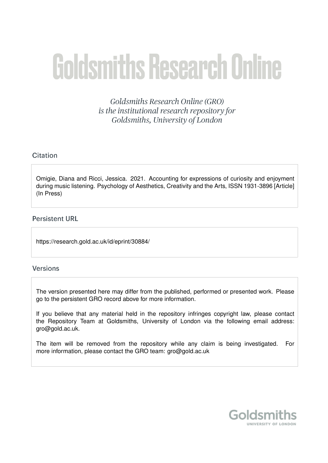# **Goldsmiths Research Online**

Goldsmiths Research Online (GRO) is the institutional research repository for Goldsmiths, University of London

## Citation

Omigie, Diana and Ricci, Jessica. 2021. Accounting for expressions of curiosity and enjoyment during music listening. Psychology of Aesthetics, Creativity and the Arts, ISSN 1931-3896 [Article] (In Press)

#### **Persistent URL**

https://research.gold.ac.uk/id/eprint/30884/

#### **Versions**

The version presented here may differ from the published, performed or presented work. Please go to the persistent GRO record above for more information.

If you believe that any material held in the repository infringes copyright law, please contact the Repository Team at Goldsmiths, University of London via the following email address: gro@gold.ac.uk.

The item will be removed from the repository while any claim is being investigated. For more information, please contact the GRO team: gro@gold.ac.uk

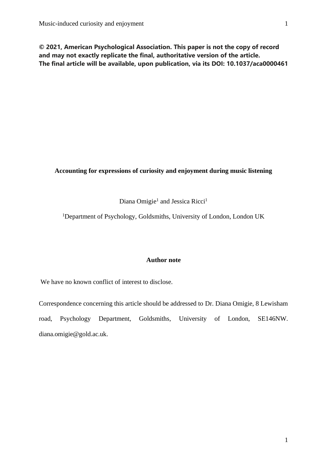**© 2021, American Psychological Association. This paper is not the copy of record and may not exactly replicate the final, authoritative version of the article. The final article will be available, upon publication, via its DOI: 10.1037/aca0000461**

#### **Accounting for expressions of curiosity and enjoyment during music listening**

Diana Omigie<sup>1</sup> and Jessica Ricci<sup>1</sup>

<sup>1</sup>Department of Psychology, Goldsmiths, University of London, London UK

#### **Author note**

We have no known conflict of interest to disclose.

Correspondence concerning this article should be addressed to Dr. Diana Omigie, 8 Lewisham road, Psychology Department, Goldsmiths, University of London, SE146NW. diana.omigie@gold.ac.uk.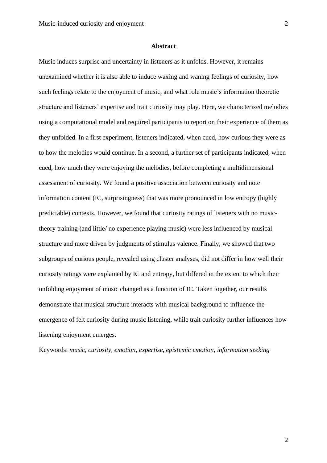#### **Abstract**

Music induces surprise and uncertainty in listeners as it unfolds. However, it remains unexamined whether it is also able to induce waxing and waning feelings of curiosity, how such feelings relate to the enjoyment of music, and what role music's information theoretic structure and listeners' expertise and trait curiosity may play. Here, we characterized melodies using a computational model and required participants to report on their experience of them as they unfolded. In a first experiment, listeners indicated, when cued, how curious they were as to how the melodies would continue. In a second, a further set of participants indicated, when cued, how much they were enjoying the melodies, before completing a multidimensional assessment of curiosity. We found a positive association between curiosity and note information content (IC, surprisingness) that was more pronounced in low entropy (highly predictable) contexts. However, we found that curiosity ratings of listeners with no musictheory training (and little/ no experience playing music) were less influenced by musical structure and more driven by judgments of stimulus valence. Finally, we showed that two subgroups of curious people, revealed using cluster analyses, did not differ in how well their curiosity ratings were explained by IC and entropy, but differed in the extent to which their unfolding enjoyment of music changed as a function of IC. Taken together, our results demonstrate that musical structure interacts with musical background to influence the emergence of felt curiosity during music listening, while trait curiosity further influences how listening enjoyment emerges.

Keywords: *music, curiosity, emotion, expertise, epistemic emotion, information seeking*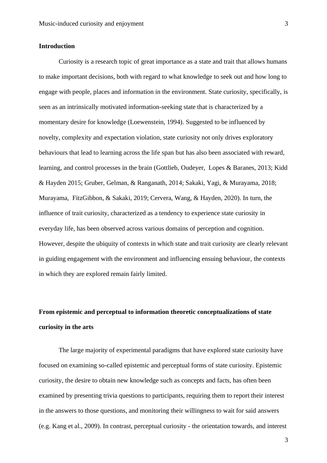#### **Introduction**

Curiosity is a research topic of great importance as a state and trait that allows humans to make important decisions, both with regard to what knowledge to seek out and how long to engage with people, places and information in the environment. State curiosity, specifically, is seen as an intrinsically motivated information-seeking state that is characterized by a momentary desire for knowledge (Loewenstein, 1994). Suggested to be influenced by novelty, complexity and expectation violation, state curiosity not only drives exploratory behaviours that lead to learning across the life span but has also been associated with reward, learning, and control processes in the brain (Gottlieb, Oudeyer, Lopes & Baranes, 2013; Kidd & Hayden 2015; Gruber, Gelman, & Ranganath, 2014; Sakaki, Yagi, & Murayama, 2018; Murayama, FitzGibbon, & Sakaki, 2019; Cervera, Wang, & Hayden, 2020). In turn, the influence of trait curiosity, characterized as a tendency to experience state curiosity in everyday life, has been observed across various domains of perception and cognition. However, despite the ubiquity of contexts in which state and trait curiosity are clearly relevant in guiding engagement with the environment and influencing ensuing behaviour, the contexts in which they are explored remain fairly limited.

# **From epistemic and perceptual to information theoretic conceptualizations of state curiosity in the arts**

The large majority of experimental paradigms that have explored state curiosity have focused on examining so-called epistemic and perceptual forms of state curiosity. Epistemic curiosity, the desire to obtain new knowledge such as concepts and facts, has often been examined by presenting trivia questions to participants, requiring them to report their interest in the answers to those questions, and monitoring their willingness to wait for said answers (e.g. Kang et al., 2009). In contrast, perceptual curiosity - the orientation towards, and interest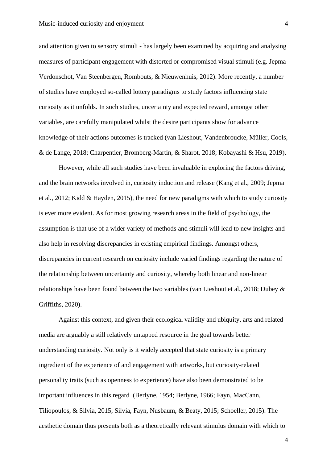and attention given to sensory stimuli - has largely been examined by acquiring and analysing measures of participant engagement with distorted or compromised visual stimuli (e.g. Jepma Verdonschot, Van Steenbergen, Rombouts, & Nieuwenhuis, 2012). More recently, a number of studies have employed so-called lottery paradigms to study factors influencing state curiosity as it unfolds. In such studies, uncertainty and expected reward, amongst other variables, are carefully manipulated whilst the desire participants show for advance knowledge of their actions outcomes is tracked (van Lieshout, Vandenbroucke, Müller, Cools, & de Lange, 2018; Charpentier, Bromberg-Martin, & Sharot, 2018; Kobayashi & Hsu, 2019).

However, while all such studies have been invaluable in exploring the factors driving, and the brain networks involved in, curiosity induction and release (Kang et al., 2009; Jepma et al., 2012; Kidd & Hayden, 2015), the need for new paradigms with which to study curiosity is ever more evident. As for most growing research areas in the field of psychology, the assumption is that use of a wider variety of methods and stimuli will lead to new insights and also help in resolving discrepancies in existing empirical findings. Amongst others, discrepancies in current research on curiosity include varied findings regarding the nature of the relationship between uncertainty and curiosity, whereby both linear and non-linear relationships have been found between the two variables (van Lieshout et al., 2018; Dubey & Griffiths, 2020).

Against this context, and given their ecological validity and ubiquity, arts and related media are arguably a still relatively untapped resource in the goal towards better understanding curiosity. Not only is it widely accepted that state curiosity is a primary ingredient of the experience of and engagement with artworks, but curiosity-related personality traits (such as openness to experience) have also been demonstrated to be important influences in this regard (Berlyne, 1954; Berlyne, 1966; Fayn, MacCann, Tiliopoulos, & Silvia, 2015; Silvia, Fayn, Nusbaum, & Beaty, 2015; Schoeller, 2015). The aesthetic domain thus presents both as a theoretically relevant stimulus domain with which to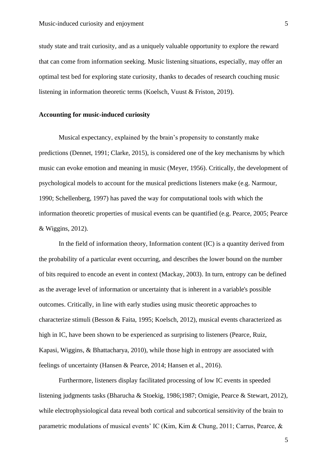study state and trait curiosity, and as a uniquely valuable opportunity to explore the reward that can come from information seeking. Music listening situations, especially, may offer an optimal test bed for exploring state curiosity, thanks to decades of research couching music listening in information theoretic terms (Koelsch, Vuust & Friston, 2019).

#### **Accounting for music-induced curiosity**

Musical expectancy, explained by the brain's propensity to constantly make predictions (Dennet, 1991; Clarke, 2015), is considered one of the key mechanisms by which music can evoke emotion and meaning in music (Meyer, 1956). Critically, the development of psychological models to account for the musical predictions listeners make (e.g. Narmour, 1990; Schellenberg, 1997) has paved the way for computational tools with which the information theoretic properties of musical events can be quantified (e.g. Pearce, 2005; Pearce & Wiggins, 2012).

In the field of information theory, Information content (IC) is a quantity derived from the probability of a particular event occurring, and describes the lower bound on the number of bits required to encode an event in context (Mackay, 2003). In turn, entropy can be defined as the average level of information or uncertainty that is inherent in a variable's possible outcomes. Critically, in line with early studies using music theoretic approaches to characterize stimuli (Besson & Faita, 1995; Koelsch, 2012), musical events characterized as high in IC, have been shown to be experienced as surprising to listeners (Pearce, Ruiz, Kapasi, Wiggins, & Bhattacharya, 2010), while those high in entropy are associated with feelings of uncertainty (Hansen & Pearce, 2014; Hansen et al., 2016).

Furthermore, listeners display facilitated processing of low IC events in speeded listening judgments tasks (Bharucha & Stoekig, 1986;1987; Omigie, Pearce & Stewart, 2012), while electrophysiological data reveal both cortical and subcortical sensitivity of the brain to parametric modulations of musical events' IC (Kim, Kim & Chung, 2011; Carrus, Pearce, &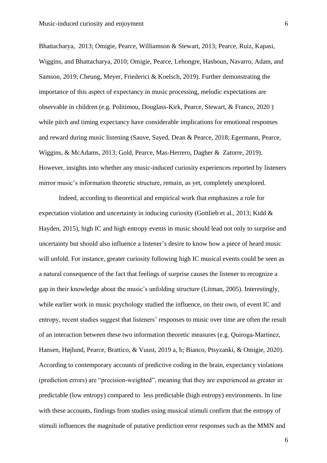Bhattacharya, 2013; Omigie, Pearce, Williamson & Stewart, 2013; Pearce, Ruiz, Kapasi, Wiggins, and Bhattacharya, 2010; Omigie, Pearce, Lehongre, Hasboun, Navarro, Adam, and Samson, 2019; Cheung, Meyer, Friederici & Koelsch, 2019). Further demonstrating the importance of this aspect of expectancy in music processing, melodic expectations are observable in children (e.g. Politimou, Douglass-Kirk, Pearce, Stewart, & Franco, 2020 ) while pitch and timing expectancy have considerable implications for emotional responses and reward during music listening (Sauve, Sayed, Dean & Pearce, 2018; Egermann, Pearce, Wiggins, & McAdams, 2013; Gold, Pearce, Mas-Herrero, Dagher & Zatorre, 2019). However, insights into whether any music-induced curiosity experiences reported by listeners mirror music's information theoretic structure, remain, as yet, completely unexplored.

Indeed, according to theoretical and empirical work that emphasizes a role for expectation violation and uncertainty in inducing curiosity (Gottlieb et al., 2013; Kidd & Hayden, 2015), high IC and high entropy events in music should lead not only to surprise and uncertainty but should also influence a listener's desire to know how a piece of heard music will unfold. For instance, greater curiosity following high IC musical events could be seen as a natural consequence of the fact that feelings of surprise causes the listener to recognize a gap in their knowledge about the music's unfolding structure (Litman, 2005). Interestingly, while earlier work in music psychology studied the influence, on their own, of event IC and entropy, recent studies suggest that listeners' responses to music over time are often the result of an interaction between these two information theoretic measures (e.g. Quiroga‐Martinez, Hansen, Højlund, Pearce, Brattico, & Vuust, 2019 a, b; Bianco, Ptsyzanki, & Omigie, 2020). According to contemporary accounts of predictive coding in the brain, expectancy violations (prediction errors) are "precision-weighted", meaning that they are experienced as greater in predictable (low entropy) compared to less predictable (high entropy) environments. In line with these accounts, findings from studies using musical stimuli confirm that the entropy of stimuli influences the magnitude of putative prediction error responses such as the MMN and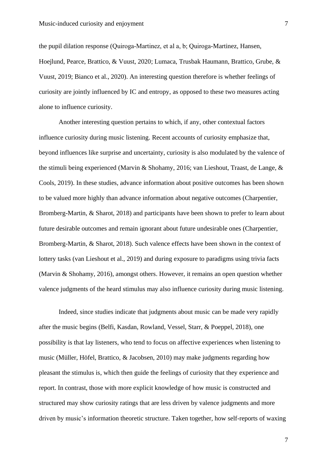the pupil dilation response (Quiroga‐Martinez, et al a, b; Quiroga-Martinez, Hansen, Hoejlund, Pearce, Brattico, & Vuust, 2020; Lumaca, Trusbak Haumann, Brattico, Grube, & Vuust, 2019; Bianco et al., 2020). An interesting question therefore is whether feelings of curiosity are jointly influenced by IC and entropy, as opposed to these two measures acting alone to influence curiosity.

Another interesting question pertains to which, if any, other contextual factors influence curiosity during music listening. Recent accounts of curiosity emphasize that, beyond influences like surprise and uncertainty, curiosity is also modulated by the valence of the stimuli being experienced (Marvin & Shohamy, 2016; van Lieshout, Traast, de Lange, & Cools, 2019). In these studies, advance information about positive outcomes has been shown to be valued more highly than advance information about negative outcomes (Charpentier, Bromberg-Martin, & Sharot, 2018) and participants have been shown to prefer to learn about future desirable outcomes and remain ignorant about future undesirable ones (Charpentier, Bromberg-Martin, & Sharot, 2018). Such valence effects have been shown in the context of lottery tasks (van Lieshout et al., 2019) and during exposure to paradigms using trivia facts (Marvin & Shohamy, 2016), amongst others. However, it remains an open question whether valence judgments of the heard stimulus may also influence curiosity during music listening.

Indeed, since studies indicate that judgments about music can be made very rapidly after the music begins (Belfi, Kasdan, Rowland, Vessel, Starr, & Poeppel, 2018), one possibility is that lay listeners, who tend to focus on affective experiences when listening to music (Müller, Höfel, Brattico, & Jacobsen, 2010) may make judgments regarding how pleasant the stimulus is, which then guide the feelings of curiosity that they experience and report. In contrast, those with more explicit knowledge of how music is constructed and structured may show curiosity ratings that are less driven by valence judgments and more driven by music's information theoretic structure. Taken together, how self-reports of waxing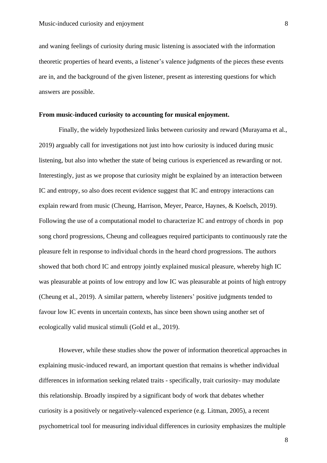and waning feelings of curiosity during music listening is associated with the information theoretic properties of heard events, a listener's valence judgments of the pieces these events are in, and the background of the given listener, present as interesting questions for which answers are possible.

#### **From music-induced curiosity to accounting for musical enjoyment.**

Finally, the widely hypothesized links between curiosity and reward (Murayama et al., 2019) arguably call for investigations not just into how curiosity is induced during music listening, but also into whether the state of being curious is experienced as rewarding or not. Interestingly, just as we propose that curiosity might be explained by an interaction between IC and entropy, so also does recent evidence suggest that IC and entropy interactions can explain reward from music (Cheung, Harrison, Meyer, Pearce, Haynes, & Koelsch, 2019). Following the use of a computational model to characterize IC and entropy of chords in pop song chord progressions, Cheung and colleagues required participants to continuously rate the pleasure felt in response to individual chords in the heard chord progressions. The authors showed that both chord IC and entropy jointly explained musical pleasure, whereby high IC was pleasurable at points of low entropy and low IC was pleasurable at points of high entropy (Cheung et al., 2019). A similar pattern, whereby listeners' positive judgments tended to favour low IC events in uncertain contexts, has since been shown using another set of ecologically valid musical stimuli (Gold et al., 2019).

However, while these studies show the power of information theoretical approaches in explaining music-induced reward, an important question that remains is whether individual differences in information seeking related traits - specifically, trait curiosity- may modulate this relationship. Broadly inspired by a significant body of work that debates whether curiosity is a positively or negatively-valenced experience (e.g. Litman, 2005), a recent psychometrical tool for measuring individual differences in curiosity emphasizes the multiple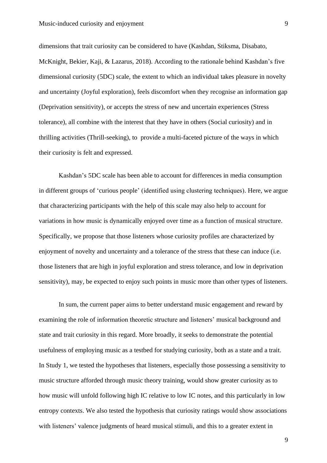dimensions that trait curiosity can be considered to have (Kashdan, Stiksma, Disabato, McKnight, Bekier, Kaji, & Lazarus, 2018). According to the rationale behind Kashdan's five dimensional curiosity (5DC) scale, the extent to which an individual takes pleasure in novelty and uncertainty (Joyful exploration), feels discomfort when they recognise an information gap (Deprivation sensitivity), or accepts the stress of new and uncertain experiences (Stress tolerance), all combine with the interest that they have in others (Social curiosity) and in thrilling activities (Thrill-seeking), to provide a multi-faceted picture of the ways in which their curiosity is felt and expressed.

Kashdan's 5DC scale has been able to account for differences in media consumption in different groups of 'curious people' (identified using clustering techniques). Here, we argue that characterizing participants with the help of this scale may also help to account for variations in how music is dynamically enjoyed over time as a function of musical structure. Specifically, we propose that those listeners whose curiosity profiles are characterized by enjoyment of novelty and uncertainty and a tolerance of the stress that these can induce (i.e. those listeners that are high in joyful exploration and stress tolerance, and low in deprivation sensitivity), may, be expected to enjoy such points in music more than other types of listeners.

In sum, the current paper aims to better understand music engagement and reward by examining the role of information theoretic structure and listeners' musical background and state and trait curiosity in this regard. More broadly, it seeks to demonstrate the potential usefulness of employing music as a testbed for studying curiosity, both as a state and a trait. In Study 1, we tested the hypotheses that listeners, especially those possessing a sensitivity to music structure afforded through music theory training, would show greater curiosity as to how music will unfold following high IC relative to low IC notes, and this particularly in low entropy contexts. We also tested the hypothesis that curiosity ratings would show associations with listeners' valence judgments of heard musical stimuli, and this to a greater extent in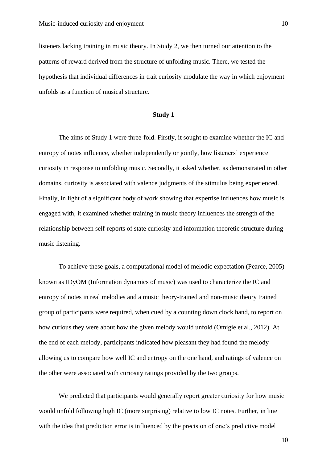listeners lacking training in music theory. In Study 2, we then turned our attention to the patterns of reward derived from the structure of unfolding music. There, we tested the hypothesis that individual differences in trait curiosity modulate the way in which enjoyment unfolds as a function of musical structure.

#### **Study 1**

The aims of Study 1 were three-fold. Firstly, it sought to examine whether the IC and entropy of notes influence, whether independently or jointly, how listeners' experience curiosity in response to unfolding music. Secondly, it asked whether, as demonstrated in other domains, curiosity is associated with valence judgments of the stimulus being experienced. Finally, in light of a significant body of work showing that expertise influences how music is engaged with, it examined whether training in music theory influences the strength of the relationship between self-reports of state curiosity and information theoretic structure during music listening.

To achieve these goals, a computational model of melodic expectation (Pearce, 2005) known as IDyOM (Information dynamics of music) was used to characterize the IC and entropy of notes in real melodies and a music theory-trained and non-music theory trained group of participants were required, when cued by a counting down clock hand, to report on how curious they were about how the given melody would unfold (Omigie et al., 2012). At the end of each melody, participants indicated how pleasant they had found the melody allowing us to compare how well IC and entropy on the one hand, and ratings of valence on the other were associated with curiosity ratings provided by the two groups.

We predicted that participants would generally report greater curiosity for how music would unfold following high IC (more surprising) relative to low IC notes. Further, in line with the idea that prediction error is influenced by the precision of one's predictive model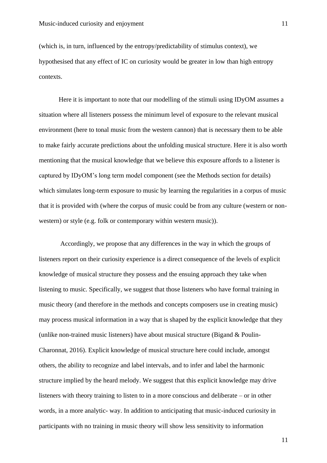(which is, in turn, influenced by the entropy/predictability of stimulus context), we hypothesised that any effect of IC on curiosity would be greater in low than high entropy contexts.

Here it is important to note that our modelling of the stimuli using IDyOM assumes a situation where all listeners possess the minimum level of exposure to the relevant musical environment (here to tonal music from the western cannon) that is necessary them to be able to make fairly accurate predictions about the unfolding musical structure. Here it is also worth mentioning that the musical knowledge that we believe this exposure affords to a listener is captured by IDyOM's long term model component (see the Methods section for details) which simulates long-term exposure to music by learning the regularities in a corpus of music that it is provided with (where the corpus of music could be from any culture (western or nonwestern) or style (e.g. folk or contemporary within western music)).

Accordingly, we propose that any differences in the way in which the groups of listeners report on their curiosity experience is a direct consequence of the levels of explicit knowledge of musical structure they possess and the ensuing approach they take when listening to music. Specifically, we suggest that those listeners who have formal training in music theory (and therefore in the methods and concepts composers use in creating music) may process musical information in a way that is shaped by the explicit knowledge that they (unlike non-trained music listeners) have about musical structure (Bigand & Poulin-Charonnat, 2016). Explicit knowledge of musical structure here could include, amongst others, the ability to recognize and label intervals, and to infer and label the harmonic structure implied by the heard melody. We suggest that this explicit knowledge may drive listeners with theory training to listen to in a more conscious and deliberate – or in other words, in a more analytic- way. In addition to anticipating that music-induced curiosity in participants with no training in music theory will show less sensitivity to information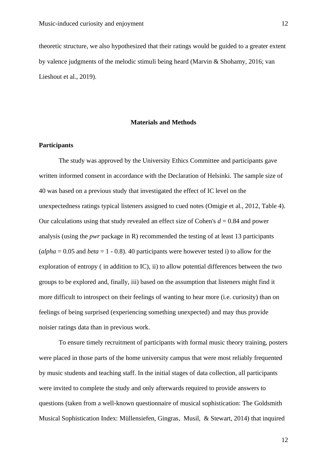theoretic structure, we also hypothesized that their ratings would be guided to a greater extent by valence judgments of the melodic stimuli being heard (Marvin & Shohamy, 2016; van Lieshout et al., 2019).

#### **Materials and Methods**

#### **Participants**

The study was approved by the University Ethics Committee and participants gave written informed consent in accordance with the Declaration of Helsinki. The sample size of 40 was based on a previous study that investigated the effect of IC level on the unexpectedness ratings typical listeners assigned to cued notes (Omigie et al., 2012, Table 4). Our calculations using that study revealed an effect size of Cohen's *d* = 0.84 and power analysis (using the *pwr* package in R) recommended the testing of at least 13 participants  $\alpha$  (*alpha* = 0.05 and *beta* = 1 - 0.8). 40 participants were however tested i) to allow for the exploration of entropy ( in addition to IC), ii) to allow potential differences between the two groups to be explored and, finally, iii) based on the assumption that listeners might find it more difficult to introspect on their feelings of wanting to hear more (i.e. curiosity) than on feelings of being surprised (experiencing something unexpected) and may thus provide noisier ratings data than in previous work.

To ensure timely recruitment of participants with formal music theory training, posters were placed in those parts of the home university campus that were most reliably frequented by music students and teaching staff. In the initial stages of data collection, all participants were invited to complete the study and only afterwards required to provide answers to questions (taken from a well-known questionnaire of musical sophistication: The Goldsmith Musical Sophistication Index: Müllensiefen, Gingras, Musil, & Stewart, 2014) that inquired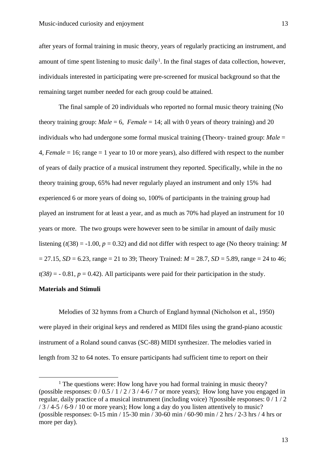after years of formal training in music theory, years of regularly practicing an instrument, and amount of time spent listening to music daily<sup>1</sup>. In the final stages of data collection, however, individuals interested in participating were pre-screened for musical background so that the remaining target number needed for each group could be attained.

The final sample of 20 individuals who reported no formal music theory training (No theory training group: *Male* = 6, *Female* = 14; all with 0 years of theory training) and 20 individuals who had undergone some formal musical training (Theory- trained group: *Male* = 4, *Female* = 16; range = 1 year to 10 or more years), also differed with respect to the number of years of daily practice of a musical instrument they reported. Specifically, while in the no theory training group, 65% had never regularly played an instrument and only 15% had experienced 6 or more years of doing so, 100% of participants in the training group had played an instrument for at least a year, and as much as 70% had played an instrument for 10 years or more. The two groups were however seen to be similar in amount of daily music listening ( $t(38) = -1.00$ ,  $p = 0.32$ ) and did not differ with respect to age (No theory training: *M*  $= 27.15$ , *SD* = 6.23, range = 21 to 39; Theory Trained: *M* = 28.7, *SD* = 5.89, range = 24 to 46;  $t(38) = -0.81$ ,  $p = 0.42$ ). All participants were paid for their participation in the study.

#### **Materials and Stimuli**

Melodies of 32 hymns from a Church of England hymnal (Nicholson et al., 1950) were played in their original keys and rendered as MIDI files using the grand-piano acoustic instrument of a Roland sound canvas (SC-88) MIDI synthesizer. The melodies varied in length from 32 to 64 notes. To ensure participants had sufficient time to report on their

<sup>&</sup>lt;sup>1</sup> The questions were: How long have you had formal training in music theory? (possible responses:  $0/0.5/1/2/3/4$ -6/7 or more years); How long have you engaged in regular, daily practice of a musical instrument (including voice) ?(possible responses: 0 / 1 / 2 / 3 / 4-5 / 6-9 / 10 or more years); How long a day do you listen attentively to music? (possible responses: 0-15 min / 15-30 min / 30-60 min / 60-90 min / 2 hrs / 2-3 hrs / 4 hrs or more per day).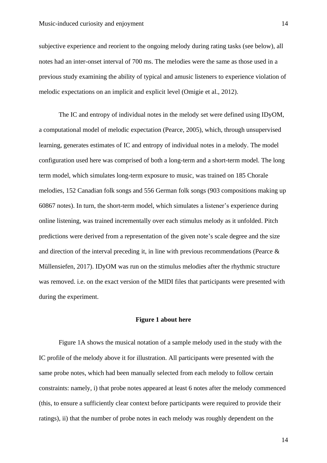subjective experience and reorient to the ongoing melody during rating tasks (see below), all notes had an inter-onset interval of 700 ms. The melodies were the same as those used in a previous study examining the ability of typical and amusic listeners to experience violation of melodic expectations on an implicit and explicit level (Omigie et al., 2012).

The IC and entropy of individual notes in the melody set were defined using IDyOM, a computational model of melodic expectation (Pearce, 2005), which, through unsupervised learning, generates estimates of IC and entropy of individual notes in a melody. The model configuration used here was comprised of both a long-term and a short-term model. The long term model, which simulates long-term exposure to music, was trained on 185 Chorale melodies, 152 Canadian folk songs and 556 German folk songs (903 compositions making up 60867 notes). In turn, the short-term model, which simulates a listener's experience during online listening, was trained incrementally over each stimulus melody as it unfolded. Pitch predictions were derived from a representation of the given note's scale degree and the size and direction of the interval preceding it, in line with previous recommendations (Pearce  $\&$ Müllensiefen, 2017). IDyOM was run on the stimulus melodies after the rhythmic structure was removed. i.e. on the exact version of the MIDI files that participants were presented with during the experiment.

#### **Figure 1 about here**

Figure 1A shows the musical notation of a sample melody used in the study with the IC profile of the melody above it for illustration. All participants were presented with the same probe notes, which had been manually selected from each melody to follow certain constraints: namely, i) that probe notes appeared at least 6 notes after the melody commenced (this, to ensure a sufficiently clear context before participants were required to provide their ratings), ii) that the number of probe notes in each melody was roughly dependent on the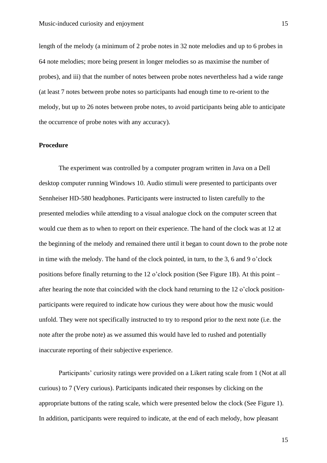length of the melody (a minimum of 2 probe notes in 32 note melodies and up to 6 probes in 64 note melodies; more being present in longer melodies so as maximise the number of probes), and iii) that the number of notes between probe notes nevertheless had a wide range (at least 7 notes between probe notes so participants had enough time to re-orient to the melody, but up to 26 notes between probe notes, to avoid participants being able to anticipate the occurrence of probe notes with any accuracy).

#### **Procedure**

The experiment was controlled by a computer program written in Java on a Dell desktop computer running Windows 10. Audio stimuli were presented to participants over Sennheiser HD-580 headphones. Participants were instructed to listen carefully to the presented melodies while attending to a visual analogue clock on the computer screen that would cue them as to when to report on their experience. The hand of the clock was at 12 at the beginning of the melody and remained there until it began to count down to the probe note in time with the melody. The hand of the clock pointed, in turn, to the 3, 6 and 9 o'clock positions before finally returning to the 12 o'clock position (See Figure 1B). At this point – after hearing the note that coincided with the clock hand returning to the 12 o'clock positionparticipants were required to indicate how curious they were about how the music would unfold. They were not specifically instructed to try to respond prior to the next note (i.e. the note after the probe note) as we assumed this would have led to rushed and potentially inaccurate reporting of their subjective experience.

Participants' curiosity ratings were provided on a Likert rating scale from 1 (Not at all curious) to 7 (Very curious). Participants indicated their responses by clicking on the appropriate buttons of the rating scale, which were presented below the clock (See Figure 1). In addition, participants were required to indicate, at the end of each melody, how pleasant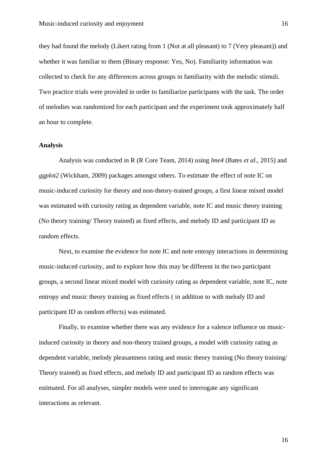they had found the melody (Likert rating from 1 (Not at all pleasant) to 7 (Very pleasant)) and whether it was familiar to them (Binary response: Yes, No). Familiarity information was collected to check for any differences across groups in familiarity with the melodic stimuli. Two practice trials were provided in order to familiarize participants with the task. The order of melodies was randomized for each participant and the experiment took approximately half an hour to complete.

#### **Analysis**

Analysis was conducted in R (R Core Team, 2014) using *lme4* (Bates *et al*., 2015) and *ggplot2* (Wickham, 2009) packages amongst others. To estimate the effect of note IC on music-induced curiosity for theory and non-theory-trained groups, a first linear mixed model was estimated with curiosity rating as dependent variable, note IC and music theory training (No theory training/ Theory trained) as fixed effects, and melody ID and participant ID as random effects.

Next, to examine the evidence for note IC and note entropy interactions in determining music-induced curiosity, and to explore how this may be different in the two participant groups, a second linear mixed model with curiosity rating as dependent variable, note IC, note entropy and music theory training as fixed effects ( in addition to with melody ID and participant ID as random effects) was estimated.

Finally, to examine whether there was any evidence for a valence influence on musicinduced curiosity in theory and non-theory trained groups, a model with curiosity rating as dependent variable, melody pleasantness rating and music theory training (No theory training/ Theory trained) as fixed effects, and melody ID and participant ID as random effects was estimated. For all analyses, simpler models were used to interrogate any significant interactions as relevant.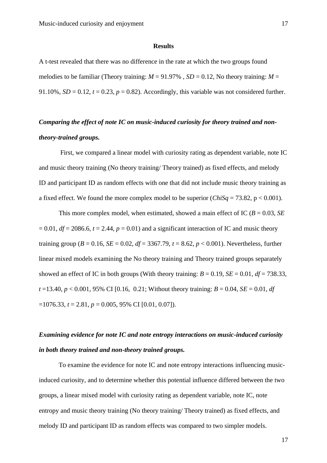#### **Results**

A t-test revealed that there was no difference in the rate at which the two groups found melodies to be familiar (Theory training:  $M = 91.97\%$ ,  $SD = 0.12$ , No theory training:  $M =$ 91.10%,  $SD = 0.12$ ,  $t = 0.23$ ,  $p = 0.82$ ). Accordingly, this variable was not considered further.

## *Comparing the effect of note IC on music-induced curiosity for theory trained and nontheory-trained groups.*

First, we compared a linear model with curiosity rating as dependent variable, note IC and music theory training (No theory training/ Theory trained) as fixed effects, and melody ID and participant ID as random effects with one that did not include music theory training as a fixed effect. We found the more complex model to be superior  $(ChiSq = 73.82, p < 0.001)$ .

This more complex model, when estimated, showed a main effect of IC ( $B = 0.03$ , *SE*)  $= 0.01$ ,  $df = 2086.6$ ,  $t = 2.44$ ,  $p = 0.01$ ) and a significant interaction of IC and music theory training group ( $B = 0.16$ ,  $SE = 0.02$ ,  $df = 3367.79$ ,  $t = 8.62$ ,  $p < 0.001$ ). Nevertheless, further linear mixed models examining the No theory training and Theory trained groups separately showed an effect of IC in both groups (With theory training:  $B = 0.19$ ,  $SE = 0.01$ ,  $df = 738.33$ ,  $t = 13.40$ ,  $p < 0.001$ , 95% CI [0.16, 0.21; Without theory training:  $B = 0.04$ ,  $SE = 0.01$ , *df*  $=1076.33$ ,  $t = 2.81$ ,  $p = 0.005$ , 95% CI [0.01, 0.07]).

## *Examining evidence for note IC and note entropy interactions on music-induced curiosity in both theory trained and non-theory trained groups.*

To examine the evidence for note IC and note entropy interactions influencing musicinduced curiosity, and to determine whether this potential influence differed between the two groups, a linear mixed model with curiosity rating as dependent variable, note IC, note entropy and music theory training (No theory training/ Theory trained) as fixed effects, and melody ID and participant ID as random effects was compared to two simpler models.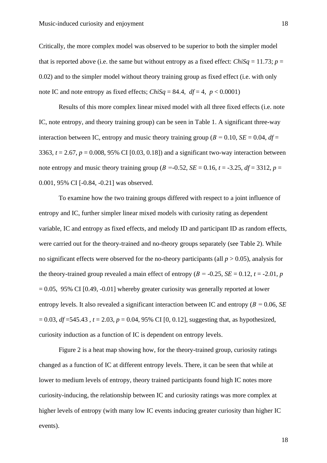Critically, the more complex model was observed to be superior to both the simpler model that is reported above (i.e. the same but without entropy as a fixed effect: *ChiSq* = 11.73; *p* = 0.02) and to the simpler model without theory training group as fixed effect (i.e. with only note IC and note entropy as fixed effects; *ChiSq* = 84.4,  $df = 4$ ,  $p < 0.0001$ )

Results of this more complex linear mixed model with all three fixed effects (i.e. note IC, note entropy, and theory training group) can be seen in Table 1. A significant three-way interaction between IC, entropy and music theory training group ( $B = 0.10$ ,  $SE = 0.04$ ,  $df =$ 3363,  $t = 2.67$ ,  $p = 0.008$ , 95% CI [0.03, 0.18]) and a significant two-way interaction between note entropy and music theory training group ( $B = -0.52$ ,  $SE = 0.16$ ,  $t = -3.25$ ,  $df = 3312$ ,  $p =$ 0.001, 95% CI [-0.84, -0.21] was observed.

To examine how the two training groups differed with respect to a joint influence of entropy and IC, further simpler linear mixed models with curiosity rating as dependent variable, IC and entropy as fixed effects, and melody ID and participant ID as random effects, were carried out for the theory-trained and no-theory groups separately (see Table 2). While no significant effects were observed for the no-theory participants (all  $p > 0.05$ ), analysis for the theory-trained group revealed a main effect of entropy ( $B = -0.25$ ,  $SE = 0.12$ ,  $t = -2.01$ ,  $p$  $= 0.05$ , 95% CI [0.49,  $-0.01$ ] whereby greater curiosity was generally reported at lower entropy levels. It also revealed a significant interaction between IC and entropy (*Β =* 0.06, *SE*  $= 0.03$ , *df*  $= 545.43$ ,  $t = 2.03$ ,  $p = 0.04$ , 95% CI [0, 0.12], suggesting that, as hypothesized, curiosity induction as a function of IC is dependent on entropy levels.

Figure 2 is a heat map showing how, for the theory-trained group, curiosity ratings changed as a function of IC at different entropy levels. There, it can be seen that while at lower to medium levels of entropy, theory trained participants found high IC notes more curiosity-inducing, the relationship between IC and curiosity ratings was more complex at higher levels of entropy (with many low IC events inducing greater curiosity than higher IC events).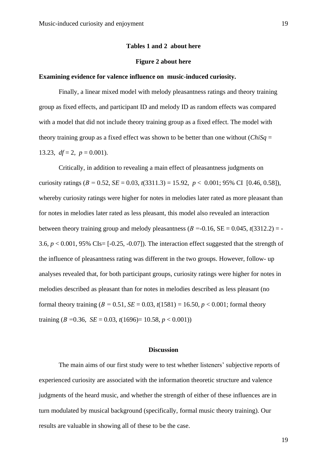#### **Tables 1 and 2 about here**

#### **Figure 2 about here**

#### **Examining evidence for valence influence on music-induced curiosity.**

Finally, a linear mixed model with melody pleasantness ratings and theory training group as fixed effects, and participant ID and melody ID as random effects was compared with a model that did not include theory training group as a fixed effect. The model with theory training group as a fixed effect was shown to be better than one without  $(ChiSq =$ 13.23,  $df = 2$ ,  $p = 0.001$ ).

Critically, in addition to revealing a main effect of pleasantness judgments on curiosity ratings ( $B = 0.52$ ,  $SE = 0.03$ ,  $t(3311.3) = 15.92$ ,  $p < 0.001$ ; 95% CI [0.46, 0.58]), whereby curiosity ratings were higher for notes in melodies later rated as more pleasant than for notes in melodies later rated as less pleasant, this model also revealed an interaction between theory training group and melody pleasantness  $(B = 0.16, SE = 0.045, t(3312.2) = -$ 3.6,  $p < 0.001$ , 95% CIs=  $[-0.25, -0.07]$ ). The interaction effect suggested that the strength of the influence of pleasantness rating was different in the two groups. However, follow- up analyses revealed that, for both participant groups, curiosity ratings were higher for notes in melodies described as pleasant than for notes in melodies described as less pleasant (no formal theory training  $(B = 0.51, SE = 0.03, t(1581) = 16.50, p < 0.001$ ; formal theory training (*Β =*0.36, *SE* = 0.03, *t*(1696)= 10.58, *p* < 0.001))

#### **Discussion**

The main aims of our first study were to test whether listeners' subjective reports of experienced curiosity are associated with the information theoretic structure and valence judgments of the heard music, and whether the strength of either of these influences are in turn modulated by musical background (specifically, formal music theory training). Our results are valuable in showing all of these to be the case.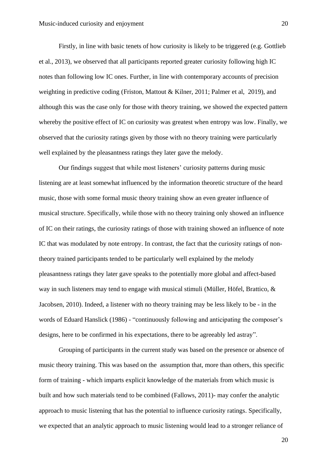Firstly, in line with basic tenets of how curiosity is likely to be triggered (e.g. Gottlieb et al., 2013), we observed that all participants reported greater curiosity following high IC notes than following low IC ones. Further, in line with contemporary accounts of precision weighting in predictive coding (Friston, Mattout & Kilner, 2011; Palmer et al, 2019), and although this was the case only for those with theory training, we showed the expected pattern whereby the positive effect of IC on curiosity was greatest when entropy was low. Finally, we observed that the curiosity ratings given by those with no theory training were particularly well explained by the pleasantness ratings they later gave the melody.

Our findings suggest that while most listeners' curiosity patterns during music listening are at least somewhat influenced by the information theoretic structure of the heard music, those with some formal music theory training show an even greater influence of musical structure. Specifically, while those with no theory training only showed an influence of IC on their ratings, the curiosity ratings of those with training showed an influence of note IC that was modulated by note entropy. In contrast, the fact that the curiosity ratings of nontheory trained participants tended to be particularly well explained by the melody pleasantness ratings they later gave speaks to the potentially more global and affect-based way in such listeners may tend to engage with musical stimuli (Müller, Höfel, Brattico, & Jacobsen, 2010). Indeed, a listener with no theory training may be less likely to be - in the words of Eduard Hanslick (1986) - "continuously following and anticipating the composer's designs, here to be confirmed in his expectations, there to be agreeably led astray".

Grouping of participants in the current study was based on the presence or absence of music theory training. This was based on the assumption that, more than others, this specific form of training - which imparts explicit knowledge of the materials from which music is built and how such materials tend to be combined (Fallows, 2011)- may confer the analytic approach to music listening that has the potential to influence curiosity ratings. Specifically, we expected that an analytic approach to music listening would lead to a stronger reliance of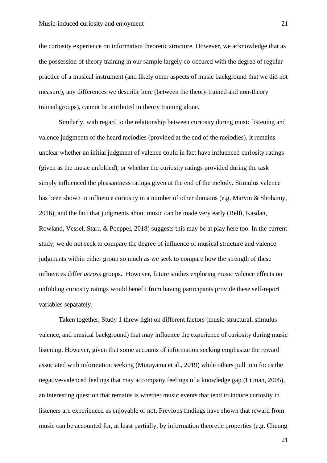the curiosity experience on information theoretic structure. However, we acknowledge that as the possession of theory training in our sample largely co-occured with the degree of regular practice of a musical instrument (and likely other aspects of music background that we did not measure), any differences we describe here (between the theory trained and non-theory trained groups), cannot be attributed to theory training alone.

Similarly, with regard to the relationship between curiosity during music listening and valence judgments of the heard melodies (provided at the end of the melodies), it remains unclear whether an initial judgment of valence could in fact have influenced curiosity ratings (given as the music unfolded), or whether the curiosity ratings provided during the task simply influenced the pleasantness ratings given at the end of the melody. Stimulus valence has been shown to influence curiosity in a number of other domains (e.g. Marvin & Shohamy, 2016), and the fact that judgments about music can be made very early (Belfi, Kasdan, Rowland, Vessel, Starr, & Poeppel, 2018) suggests this may be at play here too. In the current study, we do not seek to compare the degree of influence of musical structure and valence judgments within either group so much as we seek to compare how the strength of these influences differ *across* groups. However, future studies exploring music valence effects on unfolding curiosity ratings would benefit from having participants provide these self-report variables separately.

Taken together, Study 1 threw light on different factors (music-structural, stimulus valence, and musical background) that may influence the experience of curiosity during music listening. However, given that some accounts of information seeking emphasize the reward associated with information seeking (Murayama et al., 2019) while others pull into focus the negative-valenced feelings that may accompany feelings of a knowledge gap (Litman, 2005), an interesting question that remains is whether music events that tend to induce curiosity in listeners are experienced as enjoyable or not. Previous findings have shown that reward from music can be accounted for, at least partially, by information theoretic properties (e.g. Cheung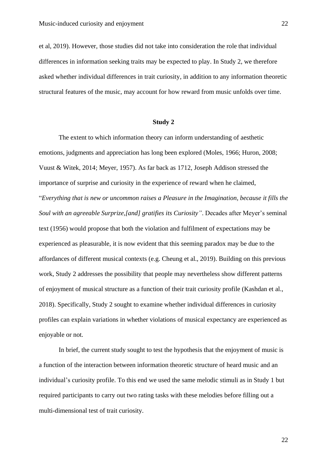et al, 2019). However, those studies did not take into consideration the role that individual differences in information seeking traits may be expected to play. In Study 2, we therefore asked whether individual differences in trait curiosity, in addition to any information theoretic structural features of the music, may account for how reward from music unfolds over time.

#### **Study 2**

The extent to which information theory can inform understanding of aesthetic emotions, judgments and appreciation has long been explored (Moles, 1966; Huron, 2008; Vuust & Witek, 2014; Meyer, 1957). As far back as 1712, Joseph Addison stressed the importance of surprise and curiosity in the experience of reward when he claimed, "*Everything that is new or uncommon raises a Pleasure in the Imagination, because it fills the Soul with an agreeable Surprize,[and] gratifies its Curiosity"*. Decades after Meyer's seminal text (1956) would propose that both the violation and fulfilment of expectations may be experienced as pleasurable, it is now evident that this seeming paradox may be due to the affordances of different musical contexts (e.g. Cheung et al., 2019). Building on this previous work, Study 2 addresses the possibility that people may nevertheless show different patterns of enjoyment of musical structure as a function of their trait curiosity profile (Kashdan et al., 2018). Specifically, Study 2 sought to examine whether individual differences in curiosity profiles can explain variations in whether violations of musical expectancy are experienced as enjoyable or not.

In brief, the current study sought to test the hypothesis that the enjoyment of music is a function of the interaction between information theoretic structure of heard music and an individual's curiosity profile. To this end we used the same melodic stimuli as in Study 1 but required participants to carry out two rating tasks with these melodies before filling out a multi-dimensional test of trait curiosity.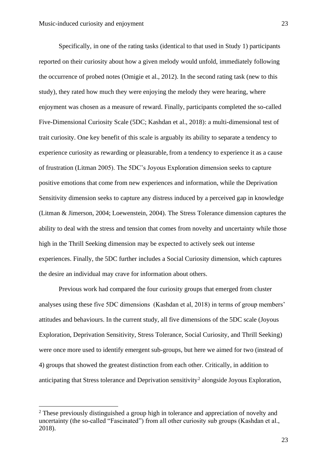Specifically, in one of the rating tasks (identical to that used in Study 1) participants reported on their curiosity about how a given melody would unfold, immediately following the occurrence of probed notes (Omigie et al., 2012). In the second rating task (new to this study), they rated how much they were enjoying the melody they were hearing, where enjoyment was chosen as a measure of reward. Finally, participants completed the so-called Five-Dimensional Curiosity Scale (5DC; Kashdan et al., 2018): a multi-dimensional test of trait curiosity. One key benefit of this scale is arguably its ability to separate a tendency to experience curiosity as rewarding or pleasurable, from a tendency to experience it as a cause of frustration (Litman 2005). The 5DC's Joyous Exploration dimension seeks to capture positive emotions that come from new experiences and information, while the Deprivation Sensitivity dimension seeks to capture any distress induced by a perceived gap in knowledge (Litman & Jimerson, 2004; Loewenstein, 2004). The Stress Tolerance dimension captures the ability to deal with the stress and tension that comes from novelty and uncertainty while those high in the Thrill Seeking dimension may be expected to actively seek out intense experiences. Finally, the 5DC further includes a Social Curiosity dimension, which captures the desire an individual may crave for information about others.

Previous work had compared the four curiosity groups that emerged from cluster analyses using these five 5DC dimensions (Kashdan et al, 2018) in terms of group members' attitudes and behaviours. In the current study, all five dimensions of the 5DC scale (Joyous Exploration, Deprivation Sensitivity, Stress Tolerance, Social Curiosity, and Thrill Seeking) were once more used to identify emergent sub-groups, but here we aimed for two (instead of 4) groups that showed the greatest distinction from each other. Critically, in addition to anticipating that Stress tolerance and Deprivation sensitivity<sup>2</sup> alongside Joyous Exploration,

<sup>&</sup>lt;sup>2</sup> These previously distinguished a group high in tolerance and appreciation of novelty and uncertainty (the so-called "Fascinated") from all other curiosity sub groups (Kashdan et al., 2018).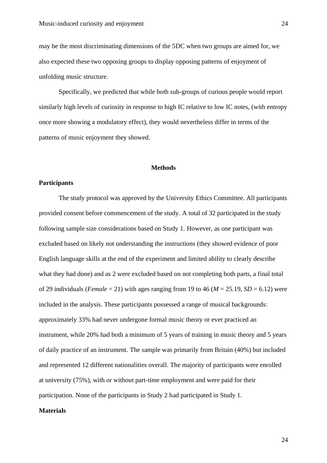may be the most discriminating dimensions of the 5DC when two groups are aimed for, we also expected these two opposing groups to display opposing patterns of enjoyment of unfolding music structure.

Specifically, we predicted that while both sub-groups of curious people would report similarly high levels of curiosity in response to high IC relative to low IC notes, (with entropy once more showing a modulatory effect), they would nevertheless differ in terms of the patterns of music enjoyment they showed.

#### **Methods**

#### **Participants**

The study protocol was approved by the University Ethics Committee. All participants provided consent before commencement of the study. A total of 32 participated in the study following sample size considerations based on Study 1. However, as one participant was excluded based on likely not understanding the instructions (they showed evidence of poor English language skills at the end of the experiment and limited ability to clearly describe what they had done) and as 2 were excluded based on not completing both parts, a final total of 29 individuals (*Female* = 21) with ages ranging from 19 to 46 ( $M = 25.19$ ,  $SD = 6.12$ ) were included in the analysis. These participants possessed a range of musical backgrounds: approximately 33% had never undergone formal music theory or ever practiced an instrument, while 20% had both a minimum of 5 years of training in music theory and 5 years of daily practice of an instrument. The sample was primarily from Britain (40%) but included and represented 12 different nationalities overall. The majority of participants were enrolled at university (75%), with or without part-time employment and were paid for their participation. None of the participants in Study 2 had participated in Study 1.

#### **Materials**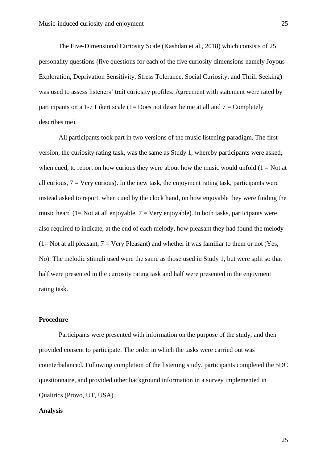The Five-Dimensional Curiosity Scale (Kashdan et al., 2018) which consists of 25 personality questions (five questions for each of the five curiosity dimensions namely Joyous Exploration, Deprivation Sensitivity, Stress Tolerance, Social Curiosity, and Thrill Seeking) was used to assess listeners' trait curiosity profiles. Agreement with statement were rated by participants on a 1-7 Likert scale (1= Does not describe me at all and  $7 =$  Completely describes me).

All participants took part in two versions of the music listening paradigm. The first version, the curiosity rating task, was the same as Study 1, whereby participants were asked, when cued, to report on how curious they were about how the music would unfold  $(1 = Not at$ all curious,  $7 = \text{Very curious}$ . In the new task, the enjoyment rating task, participants were instead asked to report, when cued by the clock hand, on how enjoyable they were finding the music heard (1= Not at all enjoyable,  $7 = \text{Very enjoyable}$ ). In both tasks, participants were also required to indicate, at the end of each melody, how pleasant they had found the melody  $(1= Not at all pleasant, 7 = Very Pleasant)$  and whether it was familiar to them or not (Yes, No). The melodic stimuli used were the same as those used in Study 1, but were split so that half were presented in the curiosity rating task and half were presented in the enjoyment rating task.

#### **Procedure**

Participants were presented with information on the purpose of the study, and then provided consent to participate. The order in which the tasks were carried out was counterbalanced. Following completion of the listening study, participants completed the 5DC questionnaire, and provided other background information in a survey implemented in Qualtrics (Provo, UT, USA).

#### **Analysis**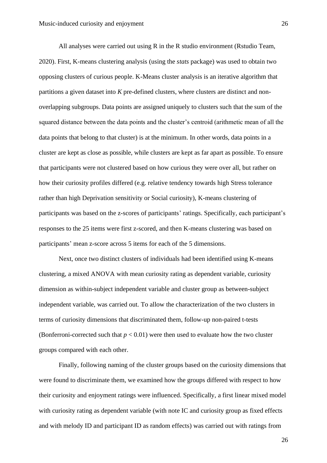All analyses were carried out using R in the R studio environment (Rstudio Team, 2020). First, K-means clustering analysis (using the *stats* package) was used to obtain two opposing clusters of curious people. K-Means cluster analysis is an iterative algorithm that partitions a given dataset into *K* pre-defined clusters, where clusters are distinct and nonoverlapping subgroups. Data points are assigned uniquely to clusters such that the sum of the squared distance between the data points and the cluster's centroid (arithmetic mean of all the data points that belong to that cluster) is at the minimum. In other words, data points in a cluster are kept as close as possible, while clusters are kept as far apart as possible. To ensure that participants were not clustered based on how curious they were over all, but rather on how their curiosity profiles differed (e.g. relative tendency towards high Stress tolerance rather than high Deprivation sensitivity or Social curiosity), K-means clustering of participants was based on the z-scores of participants' ratings. Specifically, each participant's responses to the 25 items were first z-scored, and then K-means clustering was based on participants' mean z-score across 5 items for each of the 5 dimensions.

Next, once two distinct clusters of individuals had been identified using K-means clustering, a mixed ANOVA with mean curiosity rating as dependent variable, curiosity dimension as within-subject independent variable and cluster group as between-subject independent variable, was carried out. To allow the characterization of the two clusters in terms of curiosity dimensions that discriminated them, follow-up non-paired t-tests (Bonferroni-corrected such that  $p < 0.01$ ) were then used to evaluate how the two cluster groups compared with each other.

Finally, following naming of the cluster groups based on the curiosity dimensions that were found to discriminate them, we examined how the groups differed with respect to how their curiosity and enjoyment ratings were influenced. Specifically, a first linear mixed model with curiosity rating as dependent variable (with note IC and curiosity group as fixed effects and with melody ID and participant ID as random effects) was carried out with ratings from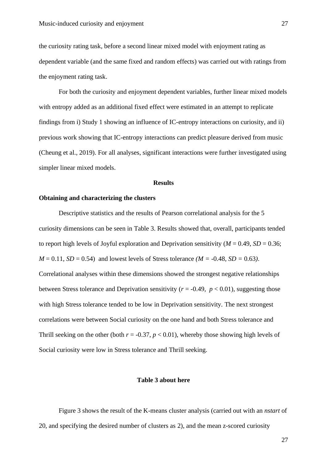the curiosity rating task, before a second linear mixed model with enjoyment rating as dependent variable (and the same fixed and random effects) was carried out with ratings from the enjoyment rating task.

For both the curiosity and enjoyment dependent variables, further linear mixed models with entropy added as an additional fixed effect were estimated in an attempt to replicate findings from i) Study 1 showing an influence of IC-entropy interactions on curiosity, and ii) previous work showing that IC-entropy interactions can predict pleasure derived from music (Cheung et al., 2019). For all analyses, significant interactions were further investigated using simpler linear mixed models.

#### **Results**

#### **Obtaining and characterizing the clusters**

Descriptive statistics and the results of Pearson correlational analysis for the 5 curiosity dimensions can be seen in Table 3. Results showed that, overall, participants tended to report high levels of Joyful exploration and Deprivation sensitivity ( $M = 0.49$ ,  $SD = 0.36$ ;  $M = 0.11$ ,  $SD = 0.54$  and lowest levels of Stress tolerance  $(M = -0.48, SD = 0.63)$ . Correlational analyses within these dimensions showed the strongest negative relationships between Stress tolerance and Deprivation sensitivity ( $r = -0.49$ ,  $p < 0.01$ ), suggesting those with high Stress tolerance tended to be low in Deprivation sensitivity. The next strongest correlations were between Social curiosity on the one hand and both Stress tolerance and Thrill seeking on the other (both  $r = -0.37$ ,  $p < 0.01$ ), whereby those showing high levels of Social curiosity were low in Stress tolerance and Thrill seeking.

#### **Table 3 about here**

Figure 3 shows the result of the K-means cluster analysis (carried out with an *nstart* of 20, and specifying the desired number of clusters as 2), and the mean z-scored curiosity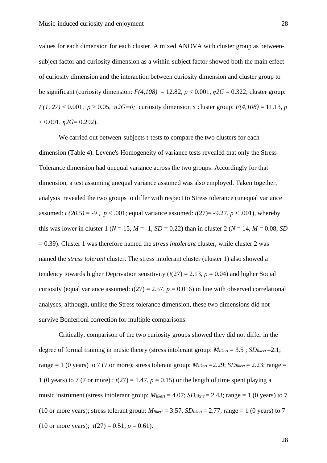values for each dimension for each cluster. A mixed ANOVA with cluster group as betweensubject factor and curiosity dimension as a within-subject factor showed both the main effect of curiosity dimension and the interaction between curiosity dimension and cluster group to be significant (curiosity dimension:  $F(4,108) = 12.82$ ,  $p < 0.001$ ,  $p2G = 0.322$ ; cluster group:  $F(1, 27) < 0.001$ ,  $p > 0.05$ ,  $p2G=0$ ; curiosity dimension x cluster group:  $F(4, 108) = 11.13$ , *p*  $< 0.001$ ,  $\eta$ 2G= 0.292).

We carried out between-subjects t-tests to compare the two clusters for each dimension (Table 4). Levene's Homogeneity of variance tests revealed that only the Stress Tolerance dimension had unequal variance across the two groups. Accordingly for that dimension, a test assuming unequal variance assumed was also employed. Taken together, analysis revealed the two groups to differ with respect to Stress tolerance (unequal variance assumed:  $t(20.5) = -9$ ,  $p < .001$ ; equal variance assumed:  $t(27) = -9.27$ ,  $p < .001$ ), whereby this was lower in cluster 1 ( $N = 15$ ,  $M = -1$ ,  $SD = 0.22$ ) than in cluster 2 ( $N = 14$ ,  $M = 0.08$ , *SD* = 0.39). Cluster 1 was therefore named the *stress intolerant* cluster, while cluster 2 was named the *stress tolerant* cluster. The stress intolerant cluster (cluster 1) also showed a tendency towards higher Deprivation sensitivity  $(t(27) = 2.13, p = 0.04)$  and higher Social curiosity (equal variance assumed:  $t(27) = 2.57$ ,  $p = 0.016$ ) in line with observed correlational analyses, although, unlike the Stress tolerance dimension, these two dimensions did not survive Bonferroni correction for multiple comparisons.

Critically, comparison of the two curiosity groups showed they did not differ in the degree of formal training in music theory (stress intolerant group: *Mlikert* = 3.5 ; *SDlikert* =2.1; range = 1 (0 years) to 7 (7 or more); stress tolerant group:  $M_{likelihood} = 2.29$ ; *SD*<sub>*likert* = 2.23; range =</sub> 1 (0 years) to 7 (7 or more);  $t(27) = 1.47$ ,  $p = 0.15$ ) or the length of time spent playing a music instrument (stress intolerant group:  $M_{\text{likelihood}} = 4.07$ ;  $SD_{\text{likelihood}} = 2.43$ ; range = 1 (0 years) to 7 (10 or more years); stress tolerant group:  $M_{\text{likelihood}} = 3.57$ ,  $SD_{\text{likelihood}} = 2.77$ ; range = 1 (0 years) to 7 (10 or more years);  $t(27) = 0.51$ ,  $p = 0.61$ ).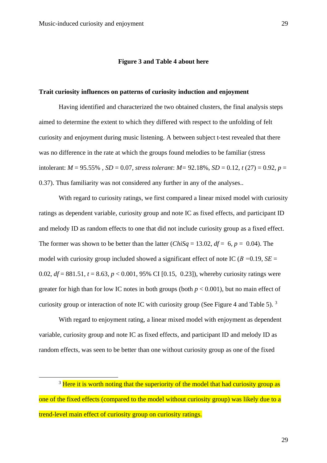#### **Figure 3 and Table 4 about here**

#### **Trait curiosity influences on patterns of curiosity induction and enjoyment**

Having identified and characterized the two obtained clusters, the final analysis steps aimed to determine the extent to which they differed with respect to the unfolding of felt curiosity and enjoyment during music listening. A between subject t-test revealed that there was no difference in the rate at which the groups found melodies to be familiar (stress intolerant:  $M = 95.55\%$ ,  $SD = 0.07$ , *stress tolerant*:  $M = 92.18\%$ ,  $SD = 0.12$ ,  $t(27) = 0.92$ ,  $p =$ 0.37). Thus familiarity was not considered any further in any of the analyses..

With regard to curiosity ratings, we first compared a linear mixed model with curiosity ratings as dependent variable, curiosity group and note IC as fixed effects, and participant ID and melody ID as random effects to one that did not include curiosity group as a fixed effect. The former was shown to be better than the latter (*ChiSq* = 13.02,  $df = 6$ ,  $p = 0.04$ ). The model with curiosity group included showed a significant effect of note IC (*Β =*0.19, *SE* = 0.02,  $df = 881.51$ ,  $t = 8.63$ ,  $p < 0.001$ , 95% CI [0.15, 0.23]), whereby curiosity ratings were greater for high than for low IC notes in both groups (both  $p < 0.001$ ), but no main effect of curiosity group or interaction of note IC with curiosity group (See Figure 4 and Table 5).  $3\overline{ }$ 

With regard to enjoyment rating, a linear mixed model with enjoyment as dependent variable, curiosity group and note IC as fixed effects, and participant ID and melody ID as random effects, was seen to be better than one without curiosity group as one of the fixed

<sup>&</sup>lt;sup>3</sup> Here it is worth noting that the superiority of the model that had curiosity group as one of the fixed effects (compared to the model without curiosity group) was likely due to a trend-level main effect of curiosity group on curiosity ratings.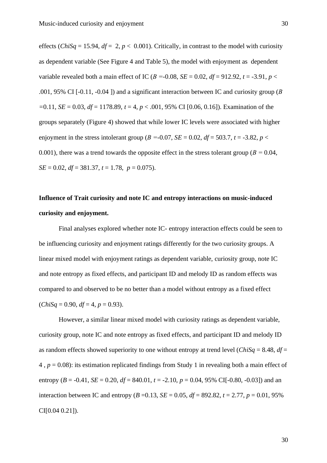effects (*ChiSq* = 15.94,  $df = 2$ ,  $p < 0.001$ ). Critically, in contrast to the model with curiosity as dependent variable (See Figure 4 and Table 5), the model with enjoyment as dependent variable revealed both a main effect of IC ( $B = -0.08$ ,  $SE = 0.02$ ,  $df = 912.92$ ,  $t = -3.91$ ,  $p <$ .001, 95% CI [-0.11, -0.04 ]) and a significant interaction between IC and curiosity group (*Β =*0.11, *SE* = 0.03, *df* = 1178.89, *t* = 4, *p* < .001, 95% CI [0.06, 0.16]). Examination of the groups separately (Figure 4) showed that while lower IC levels were associated with higher enjoyment in the stress intolerant group ( $B = -0.07$ ,  $SE = 0.02$ ,  $df = 503.7$ ,  $t = -3.82$ ,  $p <$ 0.001)*,* there was a trend towards the opposite effect in the stress tolerant group (*Β =* 0.04, *SE* = 0.02, *df* = 381.37, *t* = 1.78, *p* = 0.075).

## **Influence of Trait curiosity and note IC and entropy interactions on music-induced curiosity and enjoyment.**

Final analyses explored whether note IC- entropy interaction effects could be seen to be influencing curiosity and enjoyment ratings differently for the two curiosity groups. A linear mixed model with enjoyment ratings as dependent variable, curiosity group, note IC and note entropy as fixed effects, and participant ID and melody ID as random effects was compared to and observed to be no better than a model without entropy as a fixed effect  $(ChiSa = 0.90, df = 4, p = 0.93)$ .

However, a similar linear mixed model with curiosity ratings as dependent variable, curiosity group, note IC and note entropy as fixed effects, and participant ID and melody ID as random effects showed superiority to one without entropy at trend level (*ChiSq* = 8.48,  $df =$ 4 , *p* = 0.08): its estimation replicated findings from Study 1 in revealing both a main effect of entropy ( $B = -0.41$ ,  $SE = 0.20$ ,  $df = 840.01$ ,  $t = -2.10$ ,  $p = 0.04$ , 95% CI[-0.80, -0.03]) and an interaction between IC and entropy ( $B = 0.13$ ,  $SE = 0.05$ ,  $df = 892.82$ ,  $t = 2.77$ ,  $p = 0.01$ , 95% CI[0.04 0.21]).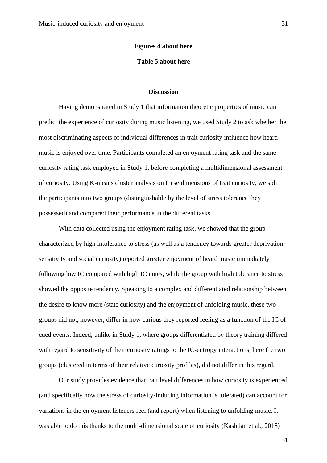#### **Figures 4 about here**

#### **Table 5 about here**

#### **Discussion**

Having demonstrated in Study 1 that information theoretic properties of music can predict the experience of curiosity during music listening, we used Study 2 to ask whether the most discriminating aspects of individual differences in trait curiosity influence how heard music is enjoyed over time. Participants completed an enjoyment rating task and the same curiosity rating task employed in Study 1, before completing a multidimensional assessment of curiosity. Using K-means cluster analysis on these dimensions of trait curiosity, we split the participants into two groups (distinguishable by the level of stress tolerance they possessed) and compared their performance in the different tasks.

With data collected using the enjoyment rating task, we showed that the group characterized by high intolerance to stress (as well as a tendency towards greater deprivation sensitivity and social curiosity) reported greater enjoyment of heard music immediately following low IC compared with high IC notes, while the group with high tolerance to stress showed the opposite tendency. Speaking to a complex and differentiated relationship between the desire to know more (state curiosity) and the enjoyment of unfolding music, these two groups did not, however, differ in how curious they reported feeling as a function of the IC of cued events. Indeed, unlike in Study 1, where groups differentiated by theory training differed with regard to sensitivity of their curiosity ratings to the IC-entropy interactions, here the two groups (clustered in terms of their relative curiosity profiles), did not differ in this regard.

Our study provides evidence that trait level differences in how curiosity is experienced (and specifically how the stress of curiosity-inducing information is tolerated) can account for variations in the enjoyment listeners feel (and report) when listening to unfolding music. It was able to do this thanks to the multi-dimensional scale of curiosity (Kashdan et al., 2018)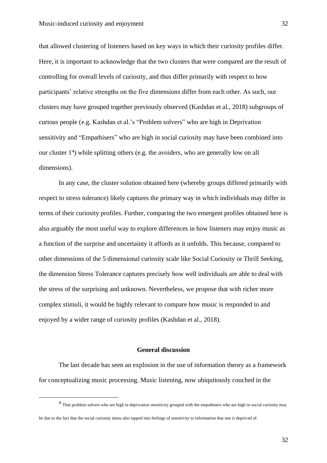that allowed clustering of listeners based on key ways in which their curiosity profiles differ. Here, it is important to acknowledge that the two clusters that were compared are the result of controlling for overall levels of curiosity, and thus differ primarily with respect to how participants' relative strengths on the five dimensions differ from each other. As such, our clusters may have grouped together previously observed (Kashdan et al., 2018) subgroups of curious people (e.g. Kashdan et al.'s "Problem solvers" who are high in Deprivation sensitivity and "Empathisers" who are high in social curiosity may have been combined into our cluster 1<sup>4</sup> ) while splitting others (e.g. the avoiders, who are generally low on all dimensions).

In any case, the cluster solution obtained here (whereby groups differed primarily with respect to stress tolerance) likely captures the primary way in which individuals may differ in terms of their curiosity profiles. Further, comparing the two emergent profiles obtained here is also arguably the most useful way to explore differences in how listeners may enjoy music as a function of the surprise and uncertainty it affords as it unfolds. This because, compared to other dimensions of the 5 dimensional curiosity scale like Social Curiosity or Thrill Seeking, the dimension Stress Tolerance captures precisely how well individuals are able to deal with the stress of the surprising and unknown. Nevertheless, we propose that with richer more complex stimuli, it would be highly relevant to compare how music is responded to and enjoyed by a wider range of curiosity profiles (Kashdan et al., 2018).

#### **General discussion**

The last decade has seen an explosion in the use of information theory as a framework for conceptualizing music processing. Music listening, now ubiquitously couched in the

<sup>&</sup>lt;sup>4</sup> That problem solvers who are high in deprivation sensitivity grouped with the empathisers who are high in social curiosity may

be due to the fact that the social curiosity items also tapped into feelings of sensitivity to information that one is deprived of.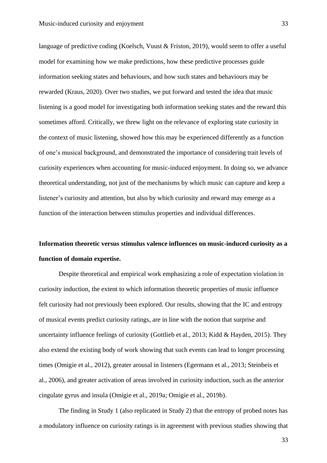language of predictive coding (Koelsch, Vuust & Friston, 2019), would seem to offer a useful model for examining how we make predictions, how these predictive processes guide information seeking states and behaviours, and how such states and behaviours may be rewarded (Kraus, 2020). Over two studies, we put forward and tested the idea that music listening is a good model for investigating both information seeking states and the reward this sometimes afford. Critically, we threw light on the relevance of exploring state curiosity in the context of music listening, showed how this may be experienced differently as a function of one's musical background, and demonstrated the importance of considering trait levels of curiosity experiences when accounting for music-induced enjoyment. In doing so, we advance theoretical understanding, not just of the mechanisms by which music can capture and keep a listener's curiosity and attention, but also by which curiosity and reward may emerge as a function of the interaction between stimulus properties and individual differences.

# **Information theoretic versus stimulus valence influences on music-induced curiosity as a function of domain expertise.**

Despite theoretical and empirical work emphasizing a role of expectation violation in curiosity induction, the extent to which information theoretic properties of music influence felt curiosity had not previously been explored. Our results, showing that the IC and entropy of musical events predict curiosity ratings, are in line with the notion that surprise and uncertainty influence feelings of curiosity (Gottlieb et al., 2013; Kidd & Hayden, 2015). They also extend the existing body of work showing that such events can lead to longer processing times (Omigie et al., 2012), greater arousal in listeners (Egermann et al., 2013; Steinbeis et al., 2006), and greater activation of areas involved in curiosity induction, such as the anterior cingulate gyrus and insula (Omigie et al., 2019a; Omigie et al., 2019b).

The finding in Study 1 (also replicated in Study 2) that the entropy of probed notes has a modulatory influence on curiosity ratings is in agreement with previous studies showing that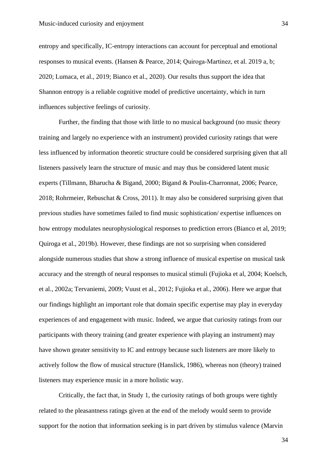entropy and specifically, IC-entropy interactions can account for perceptual and emotional responses to musical events. (Hansen & Pearce, 2014; Quiroga-Martinez, et al. 2019 a, b; 2020; Lumaca, et al., 2019; Bianco et al., 2020). Our results thus support the idea that Shannon entropy is a reliable cognitive model of predictive uncertainty, which in turn influences subjective feelings of curiosity.

Further, the finding that those with little to no musical background (no music theory training and largely no experience with an instrument) provided curiosity ratings that were less influenced by information theoretic structure could be considered surprising given that all listeners passively learn the structure of music and may thus be considered latent music experts (Tillmann, Bharucha & Bigand, 2000; Bigand & Poulin-Charronnat, 2006; Pearce, 2018; Rohrmeier, Rebuschat & Cross, 2011). It may also be considered surprising given that previous studies have sometimes failed to find music sophistication/ expertise influences on how entropy modulates neurophysiological responses to prediction errors (Bianco et al, 2019; Quiroga et al., 2019b). However, these findings are not so surprising when considered alongside numerous studies that show a strong influence of musical expertise on musical task accuracy and the strength of neural responses to musical stimuli (Fujioka et al, 2004; Koelsch, et al., 2002a; Tervaniemi, 2009; Vuust et al., 2012; Fujioka et al., 2006). Here we argue that our findings highlight an important role that domain specific expertise may play in everyday experiences of and engagement with music. Indeed, we argue that curiosity ratings from our participants with theory training (and greater experience with playing an instrument) may have shown greater sensitivity to IC and entropy because such listeners are more likely to actively follow the flow of musical structure (Hanslick, 1986), whereas non (theory) trained listeners may experience music in a more holistic way.

Critically, the fact that, in Study 1, the curiosity ratings of both groups were tightly related to the pleasantness ratings given at the end of the melody would seem to provide support for the notion that information seeking is in part driven by stimulus valence (Marvin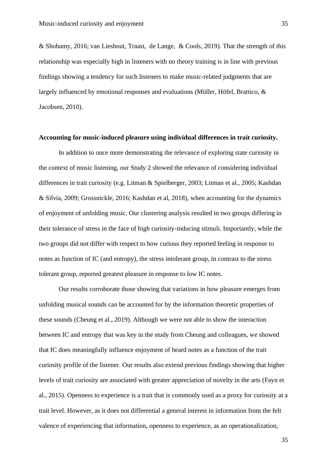& Shohamy, 2016; van Lieshout, Traast, de Lange, & Cools, 2019). That the strength of this relationship was especially high in listeners with no theory training is in line with previous findings showing a tendency for such listeners to make music-related judgments that are largely influenced by emotional responses and evaluations (Müller, Höfel, Brattico, & Jacobsen, 2010).

#### **Accounting for music-induced pleasure using individual differences in trait curiosity.**

In addition to once more demonstrating the relevance of exploring state curiosity in the context of music listening, our Study 2 showed the relevance of considering individual differences in trait curiosity (e.g. Litman & Spielberger, 2003; Litman et al., 2005; Kashdan & Silvia, 2009; Grossnickle, 2016; Kashdan et al, 2018), when accounting for the dynamics of enjoyment of unfolding music. Our clustering analysis resulted in two groups differing in their tolerance of stress in the face of high curiosity-inducing stimuli. Importantly, while the two groups did not differ with respect to how curious they reported feeling in response to notes as function of IC (and entropy), the stress intolerant group, in contrast to the stress tolerant group, reported greatest pleasure in response to low IC notes.

Our results corroborate those showing that variations in how pleasure emerges from unfolding musical sounds can be accounted for by the information theoretic properties of these sounds (Cheung et al., 2019). Although we were not able to show the interaction between IC and entropy that was key in the study from Cheung and colleagues, we showed that IC does meaningfully influence enjoyment of heard notes as a function of the trait curiosity profile of the listener. Our results also extend previous findings showing that higher levels of trait curiosity are associated with greater appreciation of novelty in the arts (Fayn et al., 2015). Openness to experience is a trait that is commonly used as a proxy for curiosity at a trait level. However, as it does not differential a general interest in information from the felt valence of experiencing that information, openness to experience, as an operationalization,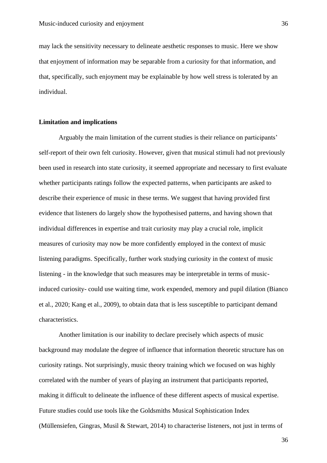may lack the sensitivity necessary to delineate aesthetic responses to music. Here we show that enjoyment of information may be separable from a curiosity for that information, and that, specifically, such enjoyment may be explainable by how well stress is tolerated by an individual.

#### **Limitation and implications**

Arguably the main limitation of the current studies is their reliance on participants' self-report of their own felt curiosity. However, given that musical stimuli had not previously been used in research into state curiosity, it seemed appropriate and necessary to first evaluate whether participants ratings follow the expected patterns, when participants are asked to describe their experience of music in these terms. We suggest that having provided first evidence that listeners do largely show the hypothesised patterns, and having shown that individual differences in expertise and trait curiosity may play a crucial role, implicit measures of curiosity may now be more confidently employed in the context of music listening paradigms. Specifically, further work studying curiosity in the context of music listening - in the knowledge that such measures may be interpretable in terms of musicinduced curiosity- could use waiting time, work expended, memory and pupil dilation (Bianco et al., 2020; Kang et al., 2009), to obtain data that is less susceptible to participant demand characteristics.

Another limitation is our inability to declare precisely which aspects of music background may modulate the degree of influence that information theoretic structure has on curiosity ratings. Not surprisingly, music theory training which we focused on was highly correlated with the number of years of playing an instrument that participants reported, making it difficult to delineate the influence of these different aspects of musical expertise. Future studies could use tools like the Goldsmiths Musical Sophistication Index (Müllensiefen, Gingras, Musil & Stewart, 2014) to characterise listeners, not just in terms of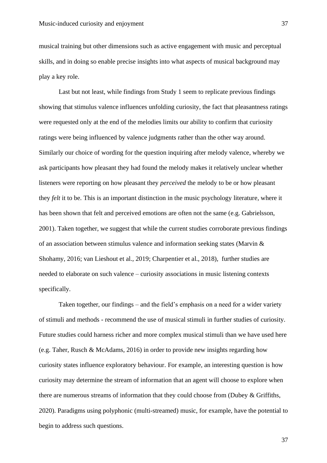musical training but other dimensions such as active engagement with music and perceptual skills, and in doing so enable precise insights into what aspects of musical background may play a key role.

Last but not least, while findings from Study 1 seem to replicate previous findings showing that stimulus valence influences unfolding curiosity, the fact that pleasantness ratings were requested only at the end of the melodies limits our ability to confirm that curiosity ratings were being influenced by valence judgments rather than the other way around. Similarly our choice of wording for the question inquiring after melody valence, whereby we ask participants how pleasant they had found the melody makes it relatively unclear whether listeners were reporting on how pleasant they *perceived* the melody to be or how pleasant they *felt* it to be. This is an important distinction in the music psychology literature, where it has been shown that felt and perceived emotions are often not the same (e.g. Gabrielsson, 2001). Taken together, we suggest that while the current studies corroborate previous findings of an association between stimulus valence and information seeking states (Marvin & Shohamy, 2016; van Lieshout et al., 2019; Charpentier et al., 2018), further studies are needed to elaborate on such valence – curiosity associations in music listening contexts specifically.

Taken together, our findings – and the field's emphasis on a need for a wider variety of stimuli and methods - recommend the use of musical stimuli in further studies of curiosity. Future studies could harness richer and more complex musical stimuli than we have used here (e.g. Taher, Rusch & McAdams, 2016) in order to provide new insights regarding how curiosity states influence exploratory behaviour. For example, an interesting question is how curiosity may determine the stream of information that an agent will choose to explore when there are numerous streams of information that they could choose from (Dubey & Griffiths, 2020). Paradigms using polyphonic (multi-streamed) music, for example, have the potential to begin to address such questions.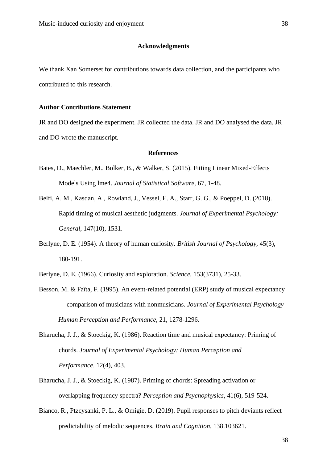#### **Acknowledgments**

We thank Xan Somerset for contributions towards data collection, and the participants who contributed to this research.

#### **Author Contributions Statement**

JR and DO designed the experiment. JR collected the data. JR and DO analysed the data. JR and DO wrote the manuscript.

#### **References**

- Bates, D., Maechler, M., Bolker, B., & Walker, S. (2015). Fitting Linear Mixed-Effects Models Using lme4. *Journal of Statistical Software,* 67, 1-48.
- Belfi, A. M., Kasdan, A., Rowland, J., Vessel, E. A., Starr, G. G., & Poeppel, D. (2018). Rapid timing of musical aesthetic judgments. *Journal of Experimental Psychology: General,* 147(10), 1531.
- Berlyne, D. E. (1954). A theory of human curiosity. *British Journal of Psychology,* 45(3), 180-191.
- Berlyne, D. E. (1966). Curiosity and exploration. *Science.* 153(3731), 25-33.
- Besson, M. & Faïta, F. (1995). An event-related potential (ERP) study of musical expectancy — comparison of musicians with nonmusicians. *Journal of Experimental Psychology Human Perception and Performance*, 21, 1278-1296.
- Bharucha, J. J., & Stoeckig, K. (1986). Reaction time and musical expectancy: Priming of chords. *Journal of Experimental Psychology: Human Perception and Performance*. 12(4), 403.
- Bharucha, J. J., & Stoeckig, K. (1987). Priming of chords: Spreading activation or overlapping frequency spectra? *Perception and Psychophysics*, 41(6), 519-524.
- Bianco, R., Ptzcysanki, P. L., & Omigie, D. (2019). Pupil responses to pitch deviants reflect predictability of melodic sequences. *Brain and Cognition,* 138.103621.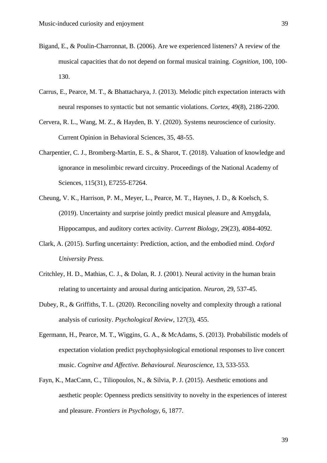- Bigand, E., & Poulin-Charronnat, B. (2006). Are we experienced listeners? A review of the musical capacities that do not depend on formal musical training. *Cognition,* 100, 100- 130.
- Carrus, E., Pearce, M. T., & Bhattacharya, J. (2013). Melodic pitch expectation interacts with neural responses to syntactic but not semantic violations. *Cortex*, 49(8), 2186-2200.
- Cervera, R. L., Wang, M. Z., & Hayden, B. Y. (2020). Systems neuroscience of curiosity. Current Opinion in Behavioral Sciences, 35, 48-55.
- Charpentier, C. J., Bromberg-Martin, E. S., & Sharot, T. (2018). Valuation of knowledge and ignorance in mesolimbic reward circuitry. Proceedings of the National Academy of Sciences, 115(31), E7255-E7264.
- Cheung, V. K., Harrison, P. M., Meyer, L., Pearce, M. T., Haynes, J. D., & Koelsch, S. (2019). Uncertainty and surprise jointly predict musical pleasure and Amygdala, Hippocampus, and auditory cortex activity. *Current Biology,* 29(23), 4084-4092.
- Clark, A. (2015). Surfing uncertainty: Prediction, action, and the embodied mind. *Oxford University Press.*
- Critchley, H. D., Mathias, C. J., & Dolan, R. J. (2001). Neural activity in the human brain relating to uncertainty and arousal during anticipation. *Neuron,* 29, 537-45.
- Dubey, R., & Griffiths, T. L. (2020). Reconciling novelty and complexity through a rational analysis of curiosity. *Psychological Review,* 127(3), 455.
- Egermann, H., Pearce, M. T., Wiggins, G. A., & McAdams, S. (2013). Probabilistic models of expectation violation predict psychophysiological emotional responses to live concert music. *Cognitve and Affective. Behavioural. Neuroscience,* 13, 533-553.
- Fayn, K., MacCann, C., Tiliopoulos, N., & Silvia, P. J. (2015). Aesthetic emotions and aesthetic people: Openness predicts sensitivity to novelty in the experiences of interest and pleasure. *Frontiers in Psychology,* 6, 1877.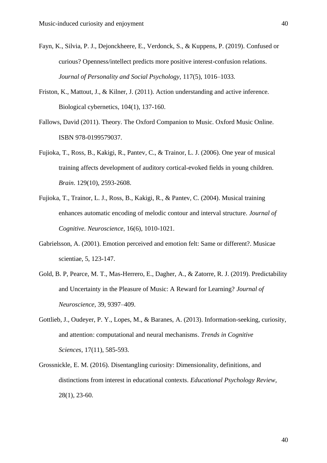- Fayn, K., Silvia, P. J., Dejonckheere, E., Verdonck, S., & Kuppens, P. (2019). Confused or curious? Openness/intellect predicts more positive interest-confusion relations. *Journal of Personality and Social Psychology,* 117(5), 1016–1033.
- Friston, K., Mattout, J., & Kilner, J. (2011). Action understanding and active inference. Biological cybernetics, 104(1), 137-160.
- Fallows, David (2011). Theory. The Oxford Companion to Music. Oxford Music Online. ISBN 978-0199579037.
- Fujioka, T., Ross, B., Kakigi, R., Pantev, C., & Trainor, L. J. (2006). One year of musical training affects development of auditory cortical-evoked fields in young children. *Brain*. 129(10), 2593-2608.
- Fujioka, T., Trainor, L. J., Ross, B., Kakigi, R., & Pantev, C. (2004). Musical training enhances automatic encoding of melodic contour and interval structure. *Journal of Cognitive. Neuroscience,* 16(6), 1010-1021.
- Gabrielsson, A. (2001). Emotion perceived and emotion felt: Same or different?. Musicae scientiae, 5, 123-147.
- Gold, B. P, Pearce, M. T., Mas-Herrero, E., Dagher, A., & Zatorre, R. J. (2019). Predictability and Uncertainty in the Pleasure of Music: A Reward for Learning? *Journal of Neuroscience,* 39, 9397–409.
- Gottlieb, J., Oudeyer, P. Y., Lopes, M., & Baranes, A. (2013). Information-seeking, curiosity, and attention: computational and neural mechanisms. *Trends in Cognitive Sciences,* 17(11), 585-593.
- Grossnickle, E. M. (2016). Disentangling curiosity: Dimensionality, definitions, and distinctions from interest in educational contexts. *Educational Psychology Review,* 28(1), 23-60.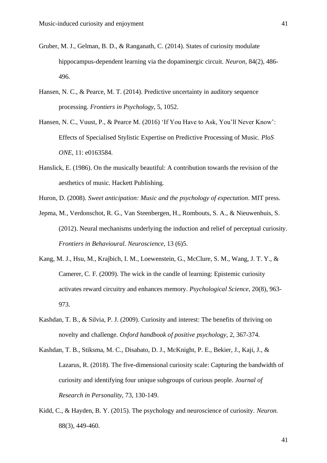- Gruber, M. J., Gelman, B. D., & Ranganath, C. (2014). States of curiosity modulate hippocampus-dependent learning via the dopaminergic circuit. *Neuron,* 84(2), 486- 496.
- Hansen, N. C., & Pearce, M. T. (2014). Predictive uncertainty in auditory sequence processing. *Frontiers in Psychology,* 5, 1052.
- Hansen, N. C., Vuust, P., & Pearce M. (2016) 'If You Have to Ask, You'll Never Know': Effects of Specialised Stylistic Expertise on Predictive Processing of Music. *PloS ONE,* 11: e0163584.
- Hanslick, E. (1986). On the musically beautiful: A contribution towards the revision of the aesthetics of music. Hackett Publishing.

Huron, D. (2008). *Sweet anticipation: Music and the psychology of expectation*. MIT press.

- Jepma, M., Verdonschot, R. G., Van Steenbergen, H., Rombouts, S. A., & Nieuwenhuis, S. (2012). Neural mechanisms underlying the induction and relief of perceptual curiosity. *Frontiers in Behavioural. Neuroscience,* 13 (6)5.
- Kang, M. J., Hsu, M., Krajbich, I. M., Loewenstein, G., McClure, S. M., Wang, J. T. Y., & Camerer, C. F. (2009). The wick in the candle of learning: Epistemic curiosity activates reward circuitry and enhances memory. *Psychological Science,* 20(8), 963- 973.
- Kashdan, T. B., & Silvia, P. J. (2009). Curiosity and interest: The benefits of thriving on novelty and challenge. *Oxford handbook of positive psychology,* 2, 367-374.
- Kashdan, T. B., Stiksma, M. C., Disabato, D. J., McKnight, P. E., Bekier, J., Kaji, J., & Lazarus, R. (2018). The five-dimensional curiosity scale: Capturing the bandwidth of curiosity and identifying four unique subgroups of curious people. *Journal of Research in Personality*, 73, 130-149.
- Kidd, C., & Hayden, B. Y. (2015). The psychology and neuroscience of curiosity. *Neuron.* 88(3), 449-460.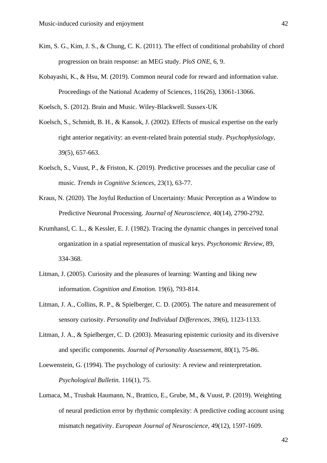- Kim, S. G., Kim, J. S., & Chung, C. K. (2011). The effect of conditional probability of chord progression on brain response: an MEG study. *PloS ONE,* 6, 9.
- Kobayashi, K., & Hsu, M. (2019). Common neural code for reward and information value. Proceedings of the National Academy of Sciences, 116(26), 13061-13066.

Koelsch, S. (2012). Brain and Music. Wiley-Blackwell. Sussex-UK

- Koelsch, S., Schmidt, B. H., & Kansok, J. (2002). Effects of musical expertise on the early right anterior negativity: an event-related brain potential study. *Psychophysiology,* 39(5), 657-663.
- Koelsch, S., Vuust, P., & Friston, K. (2019). Predictive processes and the peculiar case of music. *Trends in Cognitive Sciences,* 23(1), 63-77.
- Kraus, N. (2020). The Joyful Reduction of Uncertainty: Music Perception as a Window to Predictive Neuronal Processing. *Journal of Neuroscience,* 40(14), 2790-2792.
- Krumhansl, C. L., & Kessler, E. J. (1982). Tracing the dynamic changes in perceived tonal organization in a spatial representation of musical keys. *Psychonomic Review*, 89, 334-368.
- Litman, J. (2005). Curiosity and the pleasures of learning: Wanting and liking new information. *Cognition and Emotion.* 19(6), 793-814.
- Litman, J. A., Collins, R. P., & Spielberger, C. D. (2005). The nature and measurement of sensory curiosity. *Personality and Individual Differences,* 39(6), 1123-1133.
- Litman, J. A., & Spielberger, C. D. (2003). Measuring epistemic curiosity and its diversive and specific components. *Journal of Personality Assessement,* 80(1), 75-86.
- Loewenstein, G. (1994). The psychology of curiosity: A review and reinterpretation. *Psychological Bulletin.* 116(1), 75.
- Lumaca, M., Trusbak Haumann, N., Brattico, E., Grube, M., & Vuust, P. (2019). Weighting of neural prediction error by rhythmic complexity: A predictive coding account using mismatch negativity. *European Journal of Neuroscience,* 49(12), 1597-1609.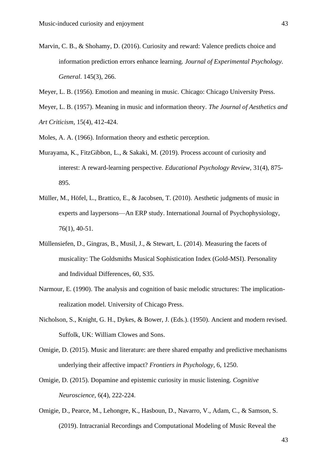- Marvin, C. B., & Shohamy, D. (2016). Curiosity and reward: Valence predicts choice and information prediction errors enhance learning. *Journal of Experimental Psychology. General*. 145(3), 266.
- Meyer, L. B. (1956). Emotion and meaning in music. Chicago: Chicago University Press.
- Meyer, L. B. (1957). Meaning in music and information theory. *The Journal of Aesthetics and Art Criticism,* 15(4), 412-424.
- Moles, A. A. (1966). Information theory and esthetic perception.
- Murayama, K., FitzGibbon, L., & Sakaki, M. (2019). Process account of curiosity and interest: A reward-learning perspective. *Educational Psychology Review,* 31(4), 875- 895.
- Müller, M., Höfel, L., Brattico, E., & Jacobsen, T. (2010). Aesthetic judgments of music in experts and laypersons—An ERP study. International Journal of Psychophysiology, 76(1), 40-51.
- Müllensiefen, D., Gingras, B., Musil, J., & Stewart, L. (2014). Measuring the facets of musicality: The Goldsmiths Musical Sophistication Index (Gold-MSI). Personality and Individual Differences, 60, S35.
- Narmour, E. (1990). The analysis and cognition of basic melodic structures: The implicationrealization model. University of Chicago Press.
- Nicholson, S., Knight, G. H., Dykes, & Bower, J. (Eds.). (1950). Ancient and modern revised. Suffolk, UK: William Clowes and Sons.
- Omigie, D. (2015). Music and literature: are there shared empathy and predictive mechanisms underlying their affective impact? *Frontiers in Psychology,* 6, 1250.
- Omigie, D. (2015). Dopamine and epistemic curiosity in music listening. *Cognitive Neuroscience,* 6(4), 222-224.
- Omigie, D., Pearce, M., Lehongre, K., Hasboun, D., Navarro, V., Adam, C., & Samson, S. (2019). Intracranial Recordings and Computational Modeling of Music Reveal the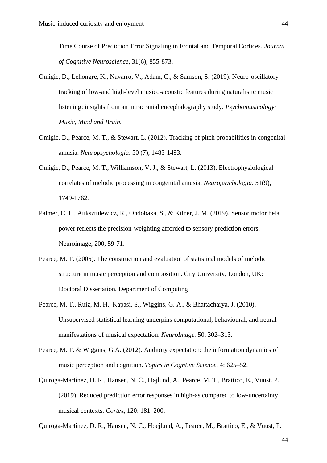Time Course of Prediction Error Signaling in Frontal and Temporal Cortices. *Journal of Cognitive Neuroscience,* 31(6), 855-873.

- Omigie, D., Lehongre, K., Navarro, V., Adam, C., & Samson, S. (2019). Neuro-oscillatory tracking of low-and high-level musico-acoustic features during naturalistic music listening: insights from an intracranial encephalography study. *Psychomusicology: Music, Mind and Brain.*
- Omigie, D., Pearce, M. T., & Stewart, L. (2012). Tracking of pitch probabilities in congenital amusia. *Neuropsychologia*. 50 (7), 1483-1493.
- Omigie, D., Pearce, M. T., Williamson, V. J., & Stewart, L. (2013). Electrophysiological correlates of melodic processing in congenital amusia. *Neuropsychologia*. 51(9), 1749-1762.
- Palmer, C. E., Auksztulewicz, R., Ondobaka, S., & Kilner, J. M. (2019). Sensorimotor beta power reflects the precision-weighting afforded to sensory prediction errors. Neuroimage, 200, 59-71.
- Pearce, M. T. (2005). The construction and evaluation of statistical models of melodic structure in music perception and composition. City University, London, UK: Doctoral Dissertation, Department of Computing
- Pearce, M. T., Ruiz, M. H., Kapasi, S., Wiggins, G. A., & Bhattacharya, J. (2010). Unsupervised statistical learning underpins computational, behavioural, and neural manifestations of musical expectation. *NeuroImage.* 50, 302–313.
- Pearce, M. T. & Wiggins, G.A. (2012). Auditory expectation: the information dynamics of music perception and cognition. *Topics in Cogntive Science,* 4: 625–52.
- Quiroga-Martinez, D. R., Hansen, N. C., Højlund, A., Pearce. M. T., Brattico, E., Vuust. P. (2019). Reduced prediction error responses in high-as compared to low-uncertainty musical contexts. *Cortex,* 120: 181–200.
- Quiroga-Martinez, D. R., Hansen, N. C., Hoejlund, A., Pearce, M., Brattico, E., & Vuust, P.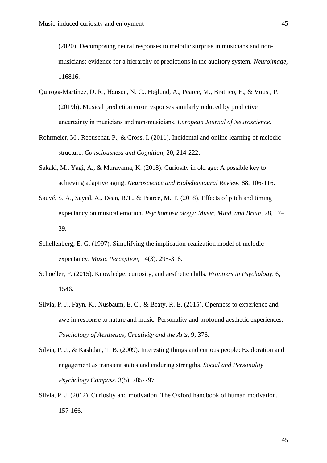(2020). Decomposing neural responses to melodic surprise in musicians and nonmusicians: evidence for a hierarchy of predictions in the auditory system. *Neuroimage,* 116816.

- Quiroga‐Martinez, D. R., Hansen, N. C., Højlund, A., Pearce, M., Brattico, E., & Vuust, P. (2019b). Musical prediction error responses similarly reduced by predictive uncertainty in musicians and non‐musicians. *European Journal of Neuroscience.*
- Rohrmeier, M., Rebuschat, P., & Cross, I. (2011). Incidental and online learning of melodic structure. *Consciousness and Cognition,* 20, 214-222.
- Sakaki, M., Yagi, A., & Murayama, K. (2018). Curiosity in old age: A possible key to achieving adaptive aging. *Neuroscience and Biobehavioural Review.* 88, 106-116.
- Sauvé, S. A., Sayed, A,. Dean, R.T., & Pearce, M. T. (2018). Effects of pitch and timing expectancy on musical emotion. *Psychomusicology: Music, Mind, and Brain*, 28, 17– 39.
- Schellenberg, E. G. (1997). Simplifying the implication-realization model of melodic expectancy. *Music Perception,* 14(3), 295-318.
- Schoeller, F. (2015). Knowledge, curiosity, and aesthetic chills. *Frontiers in Psychology,* 6, 1546.
- Silvia, P. J., Fayn, K., Nusbaum, E. C., & Beaty, R. E. (2015). Openness to experience and awe in response to nature and music: Personality and profound aesthetic experiences. *Psychology of Aesthetics, Creativity and the Arts,* 9, 376.
- Silvia, P. J., & Kashdan, T. B. (2009). Interesting things and curious people: Exploration and engagement as transient states and enduring strengths. *Social and Personality Psychology Compass.* 3(5), 785-797.
- Silvia, P. J. (2012). Curiosity and motivation. The Oxford handbook of human motivation, 157-166.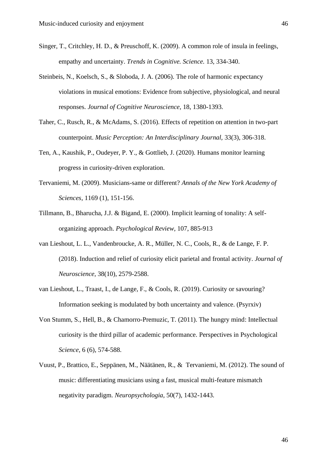- Singer, T., Critchley, H. D., & Preuschoff, K. (2009). A common role of insula in feelings, empathy and uncertainty. *Trends in Cognitive. Science.* 13, 334-340.
- Steinbeis, N., Koelsch, S., & Sloboda, J. A. (2006). The role of harmonic expectancy violations in musical emotions: Evidence from subjective, physiological, and neural responses. *Journal of Cognitive Neuroscience,* 18, 1380-1393.
- Taher, C., Rusch, R., & McAdams, S. (2016). Effects of repetition on attention in two-part counterpoint. *Music Perception: An Interdisciplinary Journal,* 33(3), 306-318.
- Ten, A., Kaushik, P., Oudeyer, P. Y., & Gottlieb, J. (2020). Humans monitor learning progress in curiosity-driven exploration.
- Tervaniemi, M. (2009). Musicians-same or different? *Annals of the New York Academy of Sciences,* 1169 (1), 151-156.
- Tillmann, B., Bharucha, J.J. & Bigand, E. (2000). Implicit learning of tonality: A selforganizing approach. *Psychological Review,* 107, 885-913
- van Lieshout, L. L., Vandenbroucke, A. R., Müller, N. C., Cools, R., & de Lange, F. P. (2018). Induction and relief of curiosity elicit parietal and frontal activity. *Journal of Neuroscience,* 38(10), 2579-2588.
- van Lieshout, L., Traast, I., de Lange, F., & Cools, R. (2019). Curiosity or savouring? Information seeking is modulated by both uncertainty and valence. (Psyrxiv)
- Von Stumm, S., Hell, B., & Chamorro-Premuzic, T. (2011). The hungry mind: Intellectual curiosity is the third pillar of academic performance. Perspectives in Psychological *Science,* 6 (6), 574-588.
- Vuust, P., Brattico, E., Seppänen, M., Näätänen, R., & Tervaniemi, M. (2012). The sound of music: differentiating musicians using a fast, musical multi-feature mismatch negativity paradigm. *Neuropsychologia,* 50(7), 1432-1443.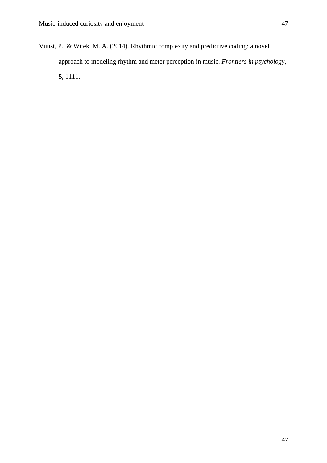Vuust, P., & Witek, M. A. (2014). Rhythmic complexity and predictive coding: a novel approach to modeling rhythm and meter perception in music. *Frontiers in psychology*, 5, 1111.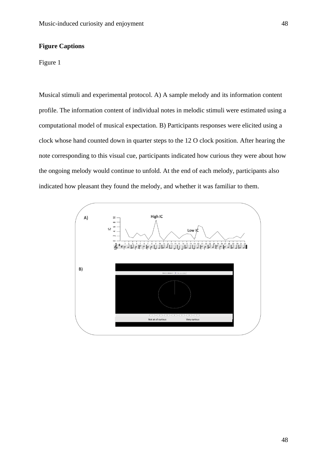#### **Figure Captions**

#### Figure 1

Musical stimuli and experimental protocol. A) A sample melody and its information content profile. The information content of individual notes in melodic stimuli were estimated using a computational model of musical expectation. B) Participants responses were elicited using a clock whose hand counted down in quarter steps to the 12 O clock position. After hearing the note corresponding to this visual cue, participants indicated how curious they were about how the ongoing melody would continue to unfold. At the end of each melody, participants also indicated how pleasant they found the melody, and whether it was familiar to them.

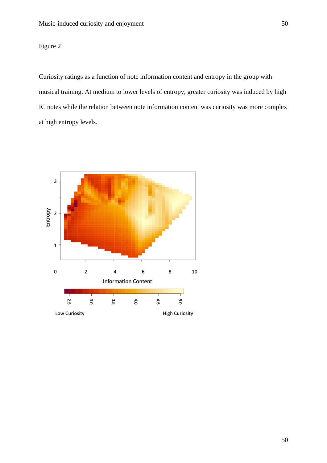## Figure 2

Curiosity ratings as a function of note information content and entropy in the group with musical training. At medium to lower levels of entropy, greater curiosity was induced by high IC notes while the relation between note information content was curiosity was more complex at high entropy levels.

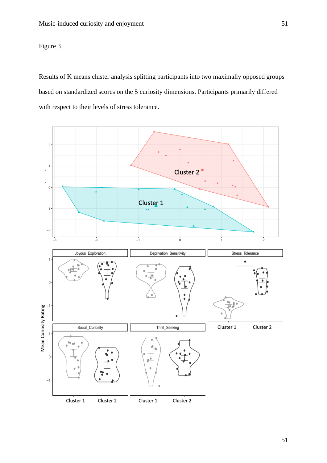## Figure 3

Results of K means cluster analysis splitting participants into two maximally opposed groups based on standardized scores on the 5 curiosity dimensions. Participants primarily differed with respect to their levels of stress tolerance.

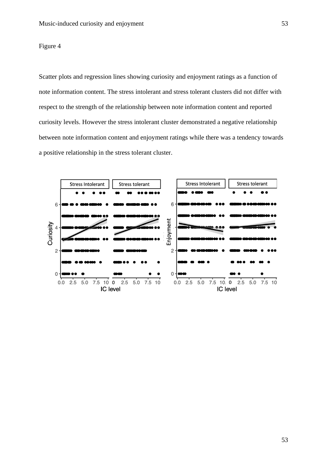Figure 4

Scatter plots and regression lines showing curiosity and enjoyment ratings as a function of note information content. The stress intolerant and stress tolerant clusters did not differ with respect to the strength of the relationship between note information content and reported curiosity levels. However the stress intolerant cluster demonstrated a negative relationship between note information content and enjoyment ratings while there was a tendency towards a positive relationship in the stress tolerant cluster.

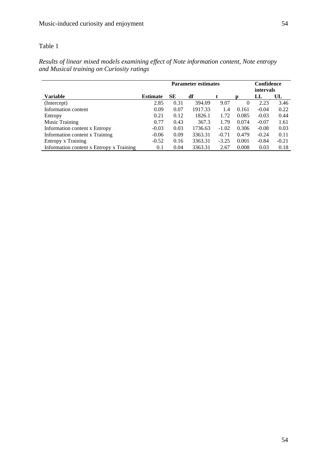|                                          | <b>Parameter estimates</b> |      |         |         |          | Confidence<br>intervals |         |  |
|------------------------------------------|----------------------------|------|---------|---------|----------|-------------------------|---------|--|
| Variable                                 | <b>Estimate</b>            | SЕ   | df      |         | D        | LL                      | UL      |  |
| (Intercept)                              | 2.85                       | 0.31 | 394.09  | 9.07    | $\theta$ | 2.23                    | 3.46    |  |
| Information content                      | 0.09                       | 0.07 | 1917.33 | 1.4     | 0.161    | $-0.04$                 | 0.22    |  |
| Entropy                                  | 0.21                       | 0.12 | 1826.1  | 1.72    | 0.085    | $-0.03$                 | 0.44    |  |
| <b>Music Training</b>                    | 0.77                       | 0.43 | 367.3   | 1.79    | 0.074    | $-0.07$                 | 1.61    |  |
| Information content x Entropy            | $-0.03$                    | 0.03 | 1736.63 | $-1.02$ | 0.306    | $-0.08$                 | 0.03    |  |
| Information content x Training           | $-0.06$                    | 0.09 | 3363.31 | $-0.71$ | 0.479    | $-0.24$                 | 0.11    |  |
| Entropy x Training                       | $-0.52$                    | 0.16 | 3363.31 | $-3.25$ | 0.001    | $-0.84$                 | $-0.21$ |  |
| Information content x Entropy x Training | 0.1                        | 0.04 | 3363.31 | 2.67    | 0.008    | 0.03                    | 0.18    |  |

*Results of linear mixed models examining effect of Note information content, Note entropy and Musical training on Curiosity ratings*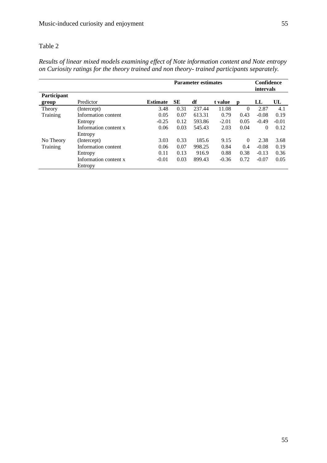|             |                       |                 | <b>Parameter estimates</b> |        |         |          | Confidence<br>intervals |         |
|-------------|-----------------------|-----------------|----------------------------|--------|---------|----------|-------------------------|---------|
| Participant |                       |                 |                            |        |         |          |                         |         |
| group       | Predictor             | <b>Estimate</b> | SЕ                         | df     | t value | D        | LL                      | UL      |
| Theory      | (Intercept)           | 3.48            | 0.31                       | 237.44 | 11.08   | $\Omega$ | 2.87                    | 4.1     |
| Training    | Information content   | 0.05            | 0.07                       | 613.31 | 0.79    | 0.43     | $-0.08$                 | 0.19    |
|             | Entropy               | $-0.25$         | 0.12                       | 593.86 | $-2.01$ | 0.05     | $-0.49$                 | $-0.01$ |
|             | Information content x | 0.06            | 0.03                       | 545.43 | 2.03    | 0.04     | $\Omega$                | 0.12    |
|             | Entropy               |                 |                            |        |         |          |                         |         |
| No Theory   | (Intercept)           | 3.03            | 0.33                       | 185.6  | 9.15    | $\Omega$ | 2.38                    | 3.68    |
| Training    | Information content   | 0.06            | 0.07                       | 998.25 | 0.84    | 0.4      | $-0.08$                 | 0.19    |
|             | Entropy               | 0.11            | 0.13                       | 916.9  | 0.88    | 0.38     | $-0.13$                 | 0.36    |
|             | Information content x | $-0.01$         | 0.03                       | 899.43 | $-0.36$ | 0.72     | $-0.07$                 | 0.05    |
|             | Entropy               |                 |                            |        |         |          |                         |         |

*Results of linear mixed models examining effect of Note information content and Note entropy on Curiosity ratings for the theory trained and non theory- trained participants separately.*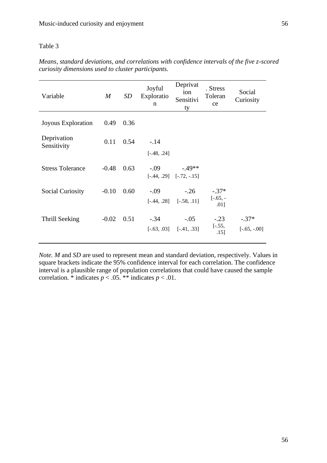| Variable                   | $\boldsymbol{M}$ | SD   | Joyful<br>Exploratio<br>n | Deprivat<br>ion<br>Sensitivi<br>ty      | . Stress<br>Toleran<br>ce         | Social<br>Curiosity       |
|----------------------------|------------------|------|---------------------------|-----------------------------------------|-----------------------------------|---------------------------|
| Joyous Exploration         | 0.49             | 0.36 |                           |                                         |                                   |                           |
| Deprivation<br>Sensitivity | 0.11             | 0.54 | $-.14$<br>$[-.48, .24]$   |                                         |                                   |                           |
| <b>Stress Tolerance</b>    | $-0.48$          | 0.63 | $-.09$                    | $-49**$<br>$[-.44, .29]$ $[-.72, -.15]$ |                                   |                           |
| <b>Social Curiosity</b>    | $-0.10$          | 0.60 | $-.09$                    | $-.26$<br>$[-.44, .28]$ $[-.58, .11]$   | $-.37*$<br>$[-.65, -]$<br>$.01$ ] |                           |
| Thrill Seeking             | $-0.02$          | 0.51 | $-.34$                    | $-.05$<br>$[-.63, .03]$ $[-.41, .33]$   | $-.23$<br>$[-.55,$<br>.15]        | $-.37*$<br>$[-.65, -.00]$ |

*Means, standard deviations, and correlations with confidence intervals of the five z-scored curiosity dimensions used to cluster participants.*

*Note. M* and *SD* are used to represent mean and standard deviation, respectively. Values in square brackets indicate the 95% confidence interval for each correlation. The confidence interval is a plausible range of population correlations that could have caused the sample correlation. \* indicates  $p < .05$ . \*\* indicates  $p < .01$ .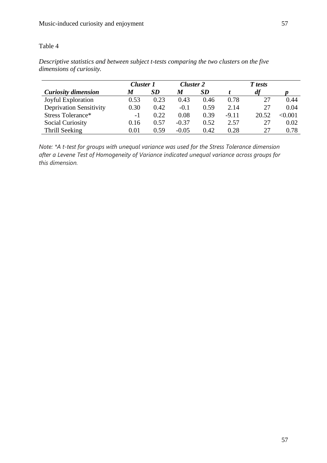|                                | <b>Cluster 1</b> |      | <b>Cluster 2</b> |      |         |       |         |
|--------------------------------|------------------|------|------------------|------|---------|-------|---------|
| <b>Curiosity dimension</b>     | M                | SD   | M                | SD   |         | df    |         |
| Joyful Exploration             | 0.53             | 0.23 | 0.43             | 0.46 | 0.78    | 27    | 0.44    |
| <b>Deprivation Sensitivity</b> | 0.30             | 0.42 | $-0.1$           | 0.59 | 2.14    | 27    | 0.04    |
| Stress Tolerance*              | $-1$             | 0.22 | 0.08             | 0.39 | $-9.11$ | 20.52 | < 0.001 |
| <b>Social Curiosity</b>        | 0.16             | 0.57 | $-0.37$          | 0.52 | 2.57    | 27    | 0.02    |
| Thrill Seeking                 | 0.01             | 0.59 | $-0.05$          | 0.42 | 0.28    | 27    | 0.78    |

*Descriptive statistics and between subject t-tests comparing the two clusters on the five dimensions of curiosity.*

*Note: \*A t-test for groups with unequal variance was used for the Stress Tolerance dimension after a Levene Test of Homogeneity of Variance indicated unequal variance across groups for this dimension.*